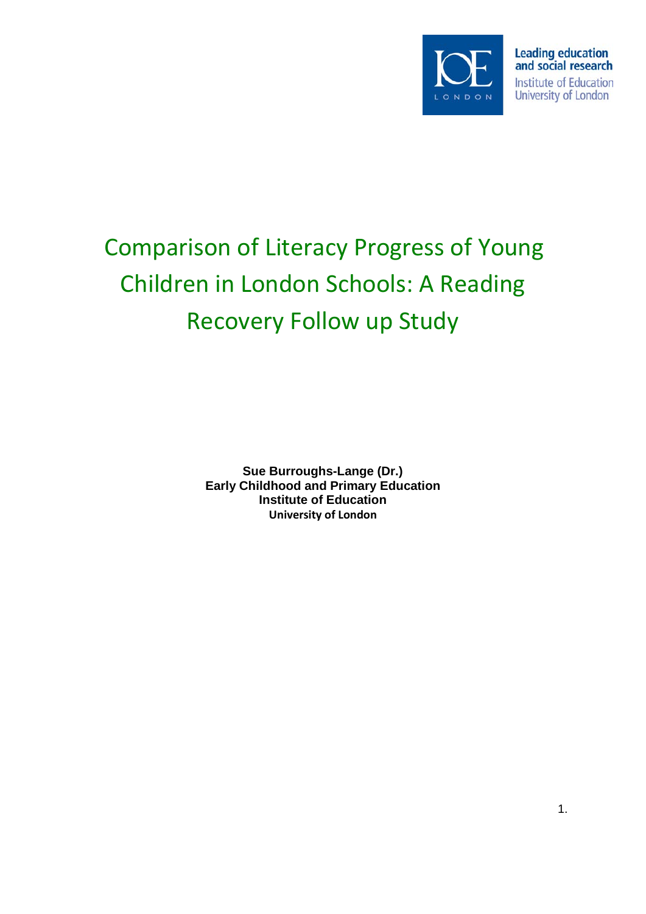

# Comparison of Literacy Progress of Young Children in London Schools: A Reading Recovery Follow up Study

**Sue Burroughs-Lange (Dr.) Early Childhood and Primary Education Institute of Education University of London**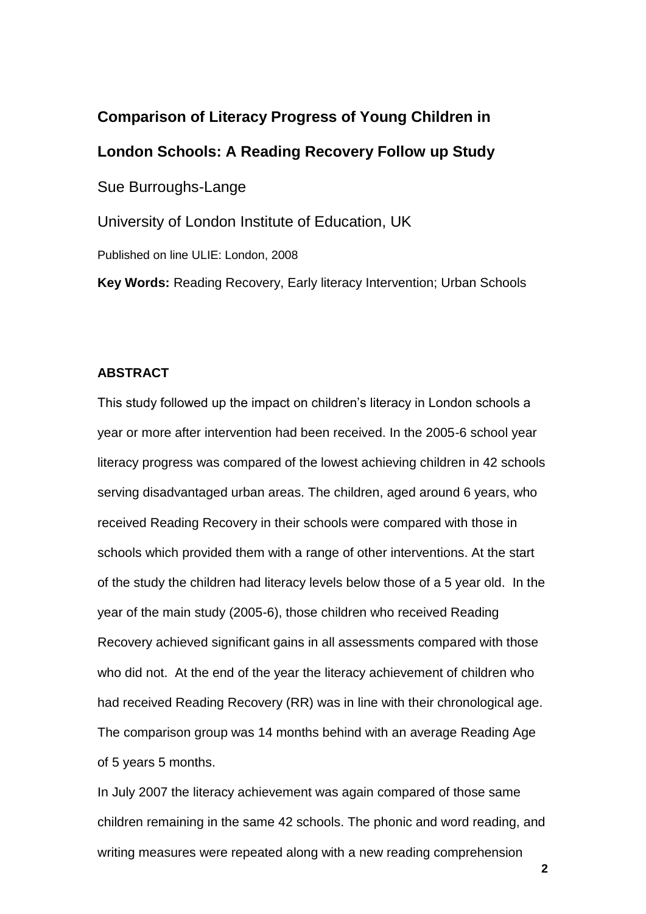# **Comparison of Literacy Progress of Young Children in London Schools: A Reading Recovery Follow up Study**  Sue Burroughs-Lange University of London Institute of Education, UK

Published on line ULIE: London, 2008

**Key Words:** Reading Recovery, Early literacy Intervention; Urban Schools

## **ABSTRACT**

This study followed up the impact on children"s literacy in London schools a year or more after intervention had been received. In the 2005-6 school year literacy progress was compared of the lowest achieving children in 42 schools serving disadvantaged urban areas. The children, aged around 6 years, who received Reading Recovery in their schools were compared with those in schools which provided them with a range of other interventions. At the start of the study the children had literacy levels below those of a 5 year old. In the year of the main study (2005-6), those children who received Reading Recovery achieved significant gains in all assessments compared with those who did not. At the end of the year the literacy achievement of children who had received Reading Recovery (RR) was in line with their chronological age. The comparison group was 14 months behind with an average Reading Age of 5 years 5 months.

In July 2007 the literacy achievement was again compared of those same children remaining in the same 42 schools. The phonic and word reading, and writing measures were repeated along with a new reading comprehension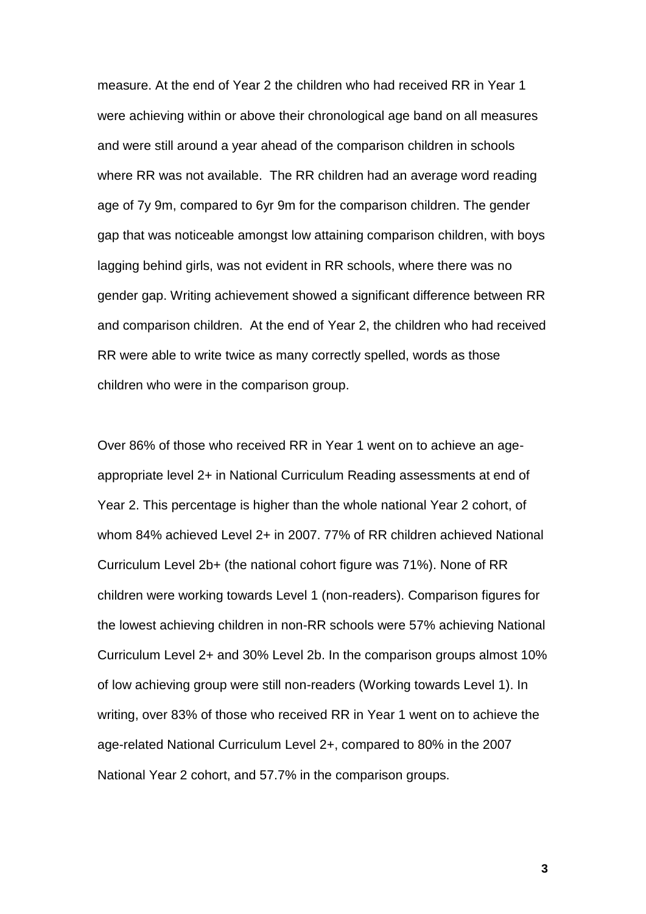measure. At the end of Year 2 the children who had received RR in Year 1 were achieving within or above their chronological age band on all measures and were still around a year ahead of the comparison children in schools where RR was not available. The RR children had an average word reading age of 7y 9m, compared to 6yr 9m for the comparison children. The gender gap that was noticeable amongst low attaining comparison children, with boys lagging behind girls, was not evident in RR schools, where there was no gender gap. Writing achievement showed a significant difference between RR and comparison children. At the end of Year 2, the children who had received RR were able to write twice as many correctly spelled, words as those children who were in the comparison group.

Over 86% of those who received RR in Year 1 went on to achieve an ageappropriate level 2+ in National Curriculum Reading assessments at end of Year 2. This percentage is higher than the whole national Year 2 cohort, of whom 84% achieved Level 2+ in 2007. 77% of RR children achieved National Curriculum Level 2b+ (the national cohort figure was 71%). None of RR children were working towards Level 1 (non-readers). Comparison figures for the lowest achieving children in non-RR schools were 57% achieving National Curriculum Level 2+ and 30% Level 2b. In the comparison groups almost 10% of low achieving group were still non-readers (Working towards Level 1). In writing, over 83% of those who received RR in Year 1 went on to achieve the age-related National Curriculum Level 2+, compared to 80% in the 2007 National Year 2 cohort, and 57.7% in the comparison groups.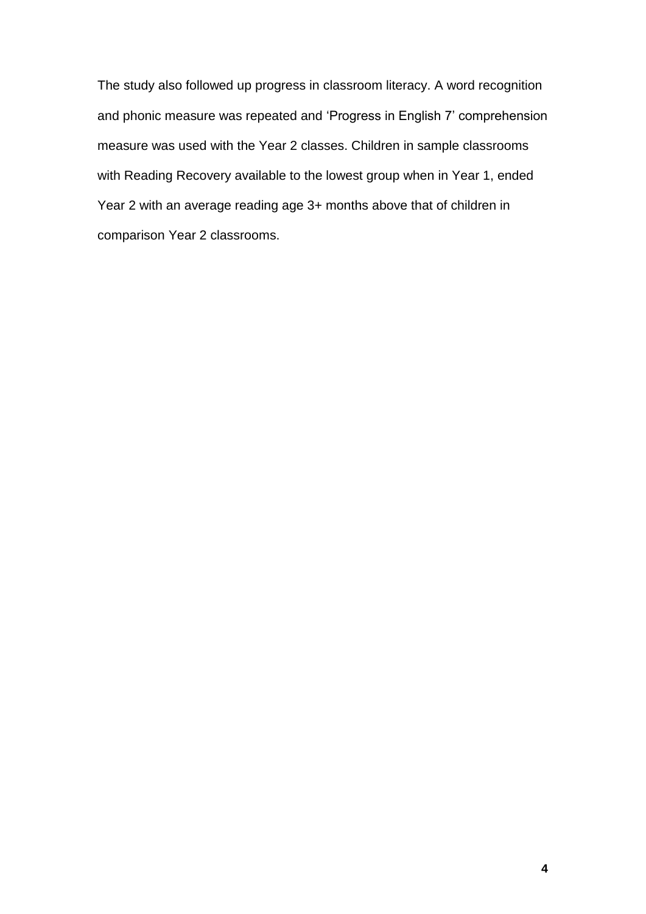The study also followed up progress in classroom literacy. A word recognition and phonic measure was repeated and "Progress in English 7" comprehension measure was used with the Year 2 classes. Children in sample classrooms with Reading Recovery available to the lowest group when in Year 1, ended Year 2 with an average reading age 3+ months above that of children in comparison Year 2 classrooms.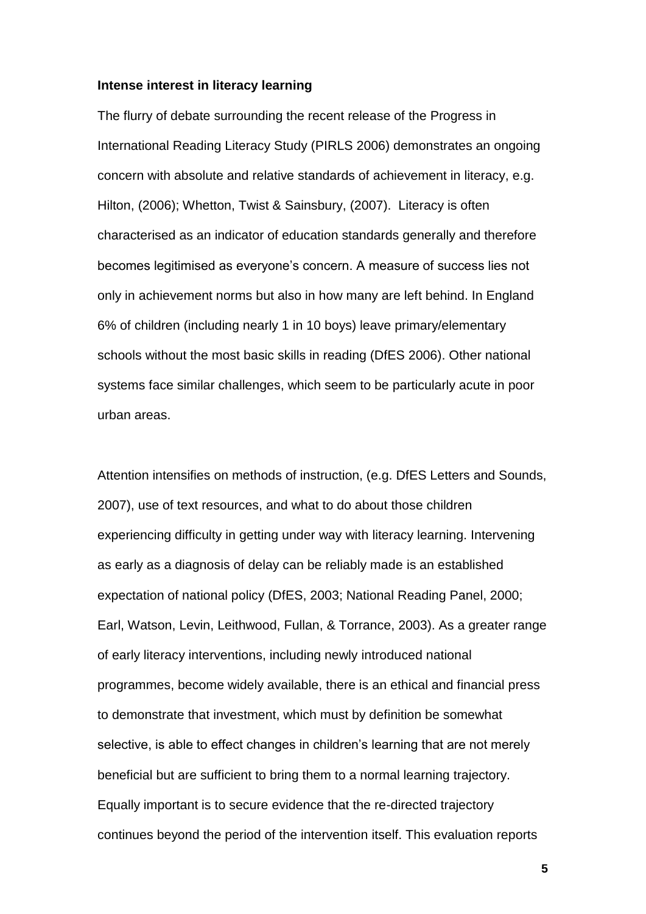#### **Intense interest in literacy learning**

The flurry of debate surrounding the recent release of the Progress in International Reading Literacy Study (PIRLS 2006) demonstrates an ongoing concern with absolute and relative standards of achievement in literacy, e.g. Hilton, (2006); Whetton, Twist & Sainsbury, (2007). Literacy is often characterised as an indicator of education standards generally and therefore becomes legitimised as everyone"s concern. A measure of success lies not only in achievement norms but also in how many are left behind. In England 6% of children (including nearly 1 in 10 boys) leave primary/elementary schools without the most basic skills in reading (DfES 2006). Other national systems face similar challenges, which seem to be particularly acute in poor urban areas.

Attention intensifies on methods of instruction, (e.g. DfES Letters and Sounds, 2007), use of text resources, and what to do about those children experiencing difficulty in getting under way with literacy learning. Intervening as early as a diagnosis of delay can be reliably made is an established expectation of national policy (DfES, 2003; National Reading Panel, 2000; Earl, Watson, Levin, Leithwood, Fullan, & Torrance, 2003). As a greater range of early literacy interventions, including newly introduced national programmes, become widely available, there is an ethical and financial press to demonstrate that investment, which must by definition be somewhat selective, is able to effect changes in children's learning that are not merely beneficial but are sufficient to bring them to a normal learning trajectory. Equally important is to secure evidence that the re-directed trajectory continues beyond the period of the intervention itself. This evaluation reports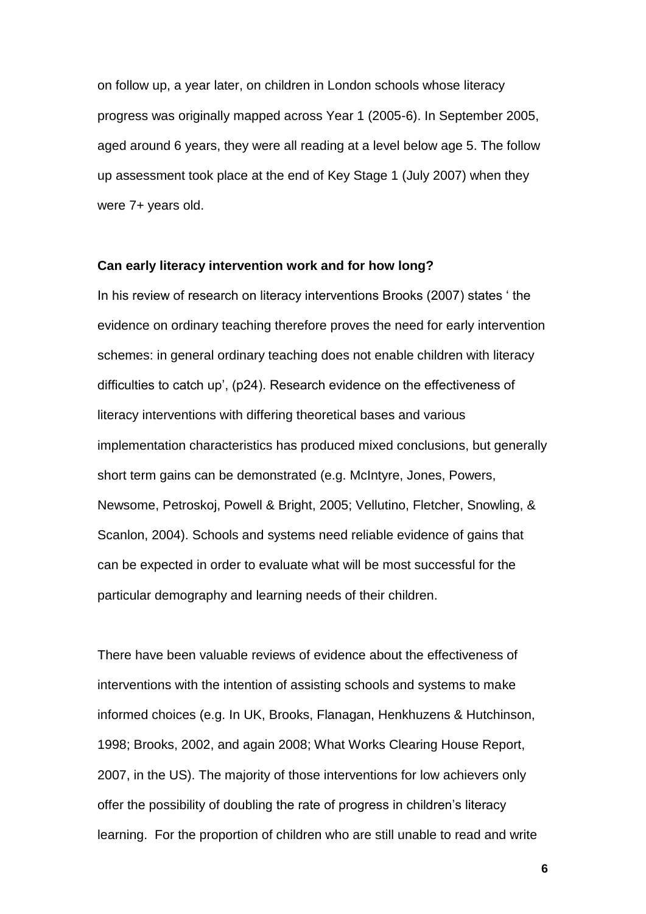on follow up, a year later, on children in London schools whose literacy progress was originally mapped across Year 1 (2005-6). In September 2005, aged around 6 years, they were all reading at a level below age 5. The follow up assessment took place at the end of Key Stage 1 (July 2007) when they were 7+ years old.

#### **Can early literacy intervention work and for how long?**

In his review of research on literacy interventions Brooks (2007) states " the evidence on ordinary teaching therefore proves the need for early intervention schemes: in general ordinary teaching does not enable children with literacy difficulties to catch up', (p24). Research evidence on the effectiveness of literacy interventions with differing theoretical bases and various implementation characteristics has produced mixed conclusions, but generally short term gains can be demonstrated (e.g. McIntyre, Jones, Powers, Newsome, Petroskoj, Powell & Bright, 2005; Vellutino, Fletcher, Snowling, & Scanlon, 2004). Schools and systems need reliable evidence of gains that can be expected in order to evaluate what will be most successful for the particular demography and learning needs of their children.

There have been valuable reviews of evidence about the effectiveness of interventions with the intention of assisting schools and systems to make informed choices (e.g. In UK, Brooks, Flanagan, Henkhuzens & Hutchinson, 1998; Brooks, 2002, and again 2008; What Works Clearing House Report, 2007, in the US). The majority of those interventions for low achievers only offer the possibility of doubling the rate of progress in children"s literacy learning. For the proportion of children who are still unable to read and write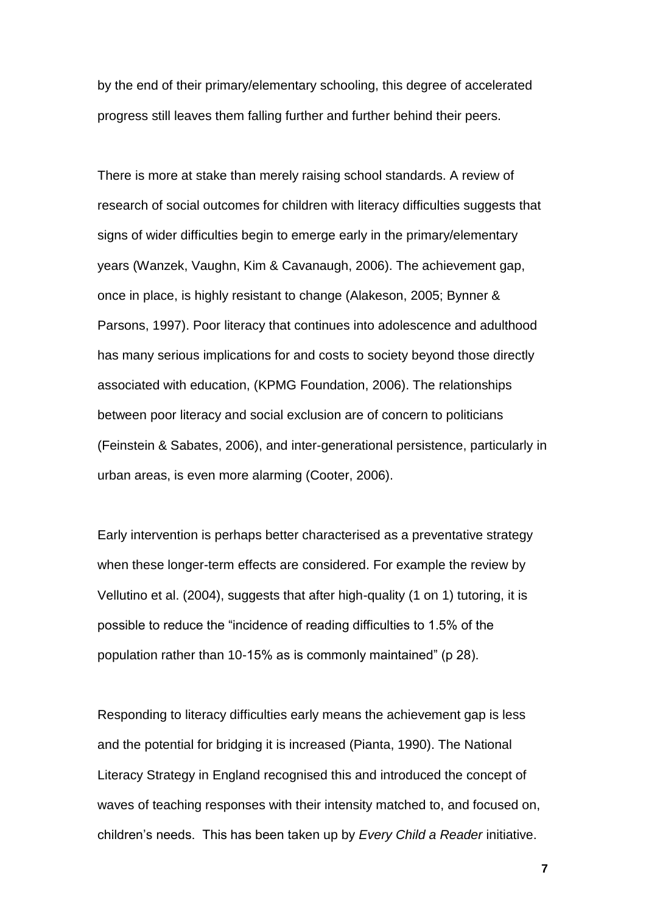by the end of their primary/elementary schooling, this degree of accelerated progress still leaves them falling further and further behind their peers.

There is more at stake than merely raising school standards. A review of research of social outcomes for children with literacy difficulties suggests that signs of wider difficulties begin to emerge early in the primary/elementary years (Wanzek, Vaughn, Kim & Cavanaugh, 2006). The achievement gap, once in place, is highly resistant to change (Alakeson, 2005; Bynner & Parsons, 1997). Poor literacy that continues into adolescence and adulthood has many serious implications for and costs to society beyond those directly associated with education, (KPMG Foundation, 2006). The relationships between poor literacy and social exclusion are of concern to politicians (Feinstein & Sabates, 2006), and inter-generational persistence, particularly in urban areas, is even more alarming (Cooter, 2006).

Early intervention is perhaps better characterised as a preventative strategy when these longer-term effects are considered. For example the review by Vellutino et al. (2004), suggests that after high-quality (1 on 1) tutoring, it is possible to reduce the "incidence of reading difficulties to 1.5% of the population rather than 10-15% as is commonly maintained" (p 28).

Responding to literacy difficulties early means the achievement gap is less and the potential for bridging it is increased (Pianta, 1990). The National Literacy Strategy in England recognised this and introduced the concept of waves of teaching responses with their intensity matched to, and focused on, children"s needs. This has been taken up by *Every Child a Reader* initiative.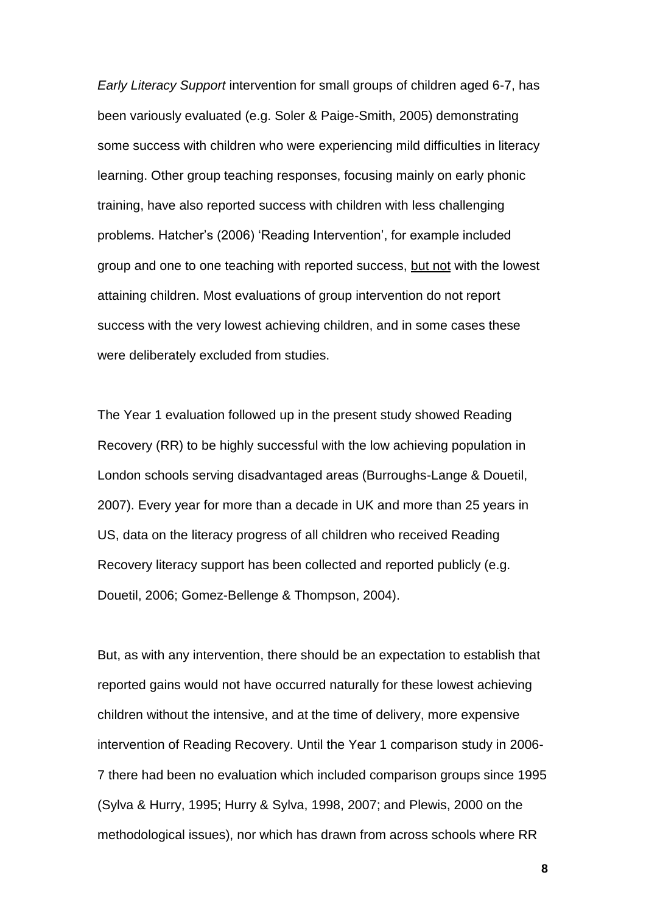*Early Literacy Support* intervention for small groups of children aged 6-7, has been variously evaluated (e.g. Soler & Paige-Smith, 2005) demonstrating some success with children who were experiencing mild difficulties in literacy learning. Other group teaching responses, focusing mainly on early phonic training, have also reported success with children with less challenging problems. Hatcher"s (2006) "Reading Intervention", for example included group and one to one teaching with reported success, but not with the lowest attaining children. Most evaluations of group intervention do not report success with the very lowest achieving children, and in some cases these were deliberately excluded from studies.

The Year 1 evaluation followed up in the present study showed Reading Recovery (RR) to be highly successful with the low achieving population in London schools serving disadvantaged areas (Burroughs-Lange & Douetil, 2007). Every year for more than a decade in UK and more than 25 years in US, data on the literacy progress of all children who received Reading Recovery literacy support has been collected and reported publicly (e.g. Douetil, 2006; Gomez-Bellenge & Thompson, 2004).

But, as with any intervention, there should be an expectation to establish that reported gains would not have occurred naturally for these lowest achieving children without the intensive, and at the time of delivery, more expensive intervention of Reading Recovery. Until the Year 1 comparison study in 2006- 7 there had been no evaluation which included comparison groups since 1995 (Sylva & Hurry, 1995; Hurry & Sylva, 1998, 2007; and Plewis, 2000 on the methodological issues), nor which has drawn from across schools where RR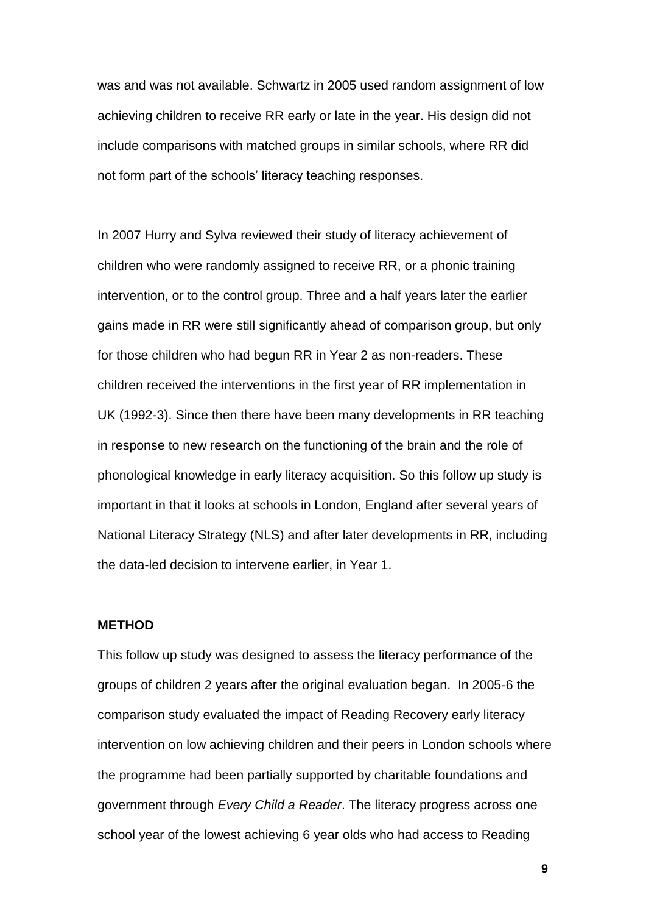was and was not available. Schwartz in 2005 used random assignment of low achieving children to receive RR early or late in the year. His design did not include comparisons with matched groups in similar schools, where RR did not form part of the schools' literacy teaching responses.

In 2007 Hurry and Sylva reviewed their study of literacy achievement of children who were randomly assigned to receive RR, or a phonic training intervention, or to the control group. Three and a half years later the earlier gains made in RR were still significantly ahead of comparison group, but only for those children who had begun RR in Year 2 as non-readers. These children received the interventions in the first year of RR implementation in UK (1992-3). Since then there have been many developments in RR teaching in response to new research on the functioning of the brain and the role of phonological knowledge in early literacy acquisition. So this follow up study is important in that it looks at schools in London, England after several years of National Literacy Strategy (NLS) and after later developments in RR, including the data-led decision to intervene earlier, in Year 1.

## **METHOD**

This follow up study was designed to assess the literacy performance of the groups of children 2 years after the original evaluation began. In 2005-6 the comparison study evaluated the impact of Reading Recovery early literacy intervention on low achieving children and their peers in London schools where the programme had been partially supported by charitable foundations and government through *Every Child a Reader*. The literacy progress across one school year of the lowest achieving 6 year olds who had access to Reading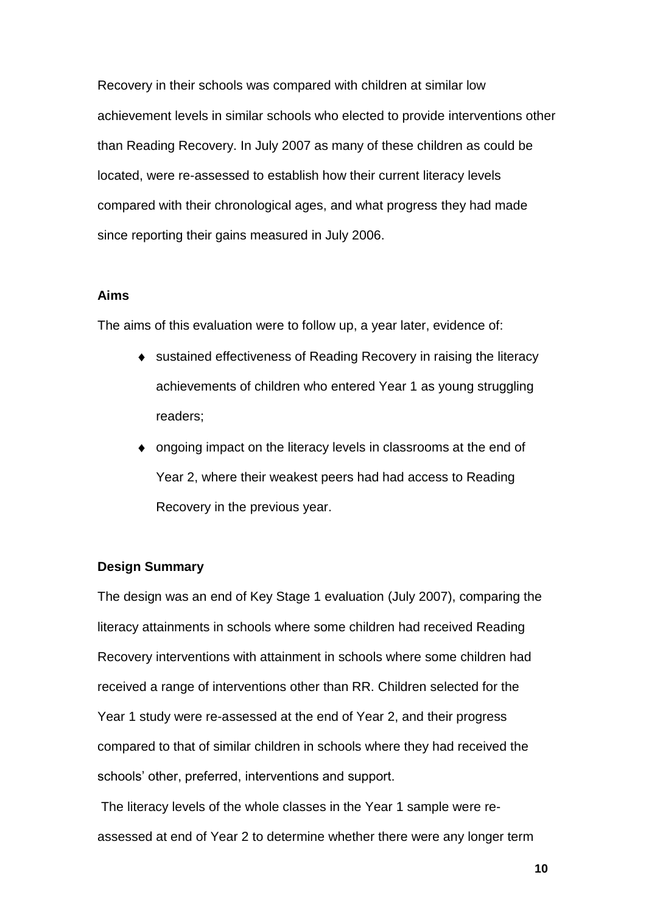Recovery in their schools was compared with children at similar low achievement levels in similar schools who elected to provide interventions other than Reading Recovery. In July 2007 as many of these children as could be located, were re-assessed to establish how their current literacy levels compared with their chronological ages, and what progress they had made since reporting their gains measured in July 2006.

## **Aims**

The aims of this evaluation were to follow up, a year later, evidence of:

- sustained effectiveness of Reading Recovery in raising the literacy achievements of children who entered Year 1 as young struggling readers;
- ongoing impact on the literacy levels in classrooms at the end of Year 2, where their weakest peers had had access to Reading Recovery in the previous year.

## **Design Summary**

The design was an end of Key Stage 1 evaluation (July 2007), comparing the literacy attainments in schools where some children had received Reading Recovery interventions with attainment in schools where some children had received a range of interventions other than RR. Children selected for the Year 1 study were re-assessed at the end of Year 2, and their progress compared to that of similar children in schools where they had received the schools" other, preferred, interventions and support.

The literacy levels of the whole classes in the Year 1 sample were reassessed at end of Year 2 to determine whether there were any longer term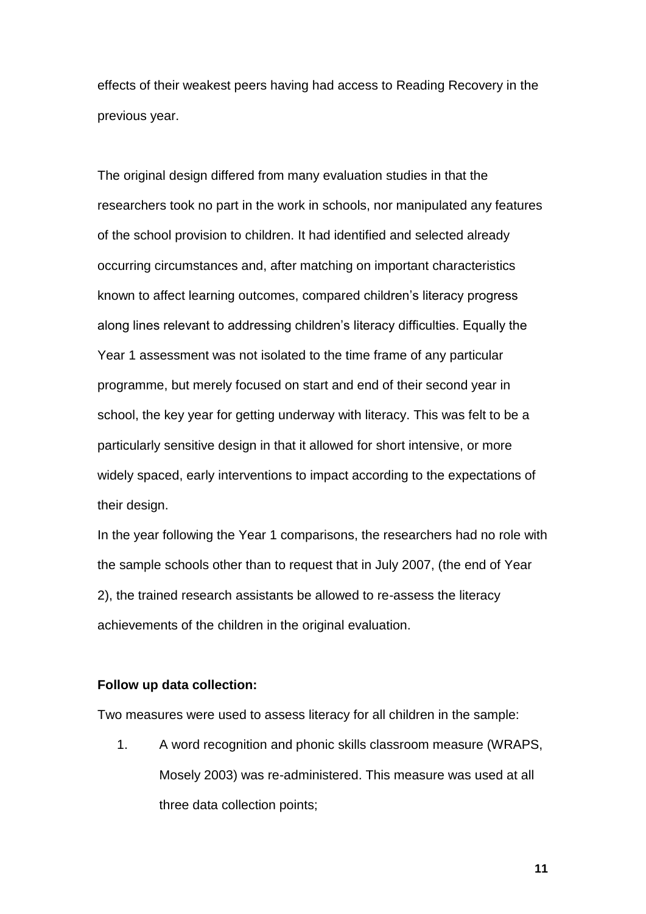effects of their weakest peers having had access to Reading Recovery in the previous year.

The original design differed from many evaluation studies in that the researchers took no part in the work in schools, nor manipulated any features of the school provision to children. It had identified and selected already occurring circumstances and, after matching on important characteristics known to affect learning outcomes, compared children"s literacy progress along lines relevant to addressing children"s literacy difficulties. Equally the Year 1 assessment was not isolated to the time frame of any particular programme, but merely focused on start and end of their second year in school, the key year for getting underway with literacy. This was felt to be a particularly sensitive design in that it allowed for short intensive, or more widely spaced, early interventions to impact according to the expectations of their design.

In the year following the Year 1 comparisons, the researchers had no role with the sample schools other than to request that in July 2007, (the end of Year 2), the trained research assistants be allowed to re-assess the literacy achievements of the children in the original evaluation.

## **Follow up data collection:**

Two measures were used to assess literacy for all children in the sample:

1. A word recognition and phonic skills classroom measure (WRAPS, Mosely 2003) was re-administered. This measure was used at all three data collection points;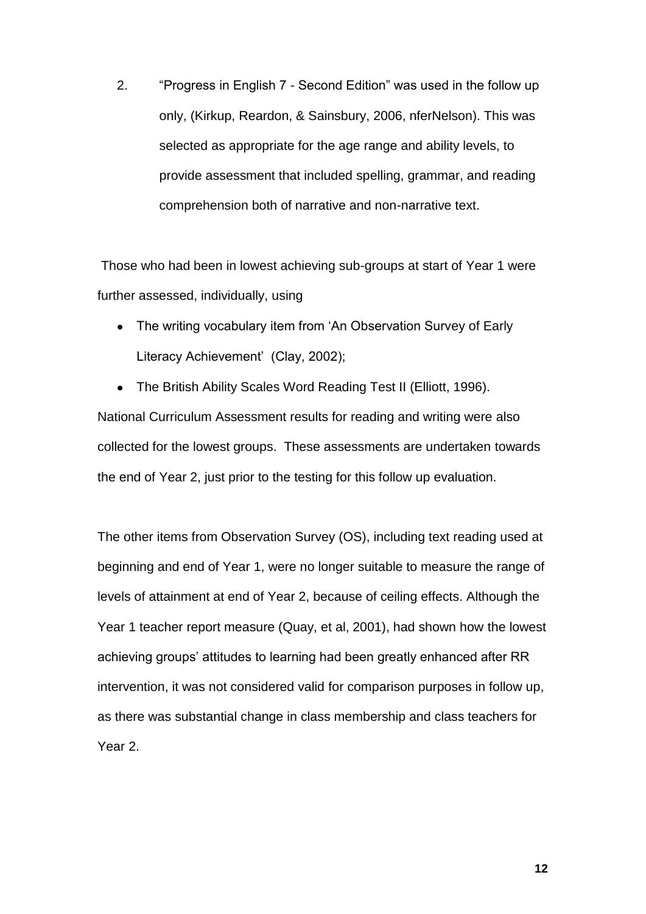2. "Progress in English 7 - Second Edition" was used in the follow up only, (Kirkup, Reardon, & Sainsbury, 2006, nferNelson). This was selected as appropriate for the age range and ability levels, to provide assessment that included spelling, grammar, and reading comprehension both of narrative and non-narrative text.

Those who had been in lowest achieving sub-groups at start of Year 1 were further assessed, individually, using

The writing vocabulary item from "An Observation Survey of Early  $\bullet$ Literacy Achievement' (Clay, 2002);

The British Ability Scales Word Reading Test II (Elliott, 1996).  $\bullet$ National Curriculum Assessment results for reading and writing were also collected for the lowest groups. These assessments are undertaken towards the end of Year 2, just prior to the testing for this follow up evaluation.

The other items from Observation Survey (OS), including text reading used at beginning and end of Year 1, were no longer suitable to measure the range of levels of attainment at end of Year 2, because of ceiling effects. Although the Year 1 teacher report measure (Quay, et al, 2001), had shown how the lowest achieving groups' attitudes to learning had been greatly enhanced after RR intervention, it was not considered valid for comparison purposes in follow up, as there was substantial change in class membership and class teachers for Year 2.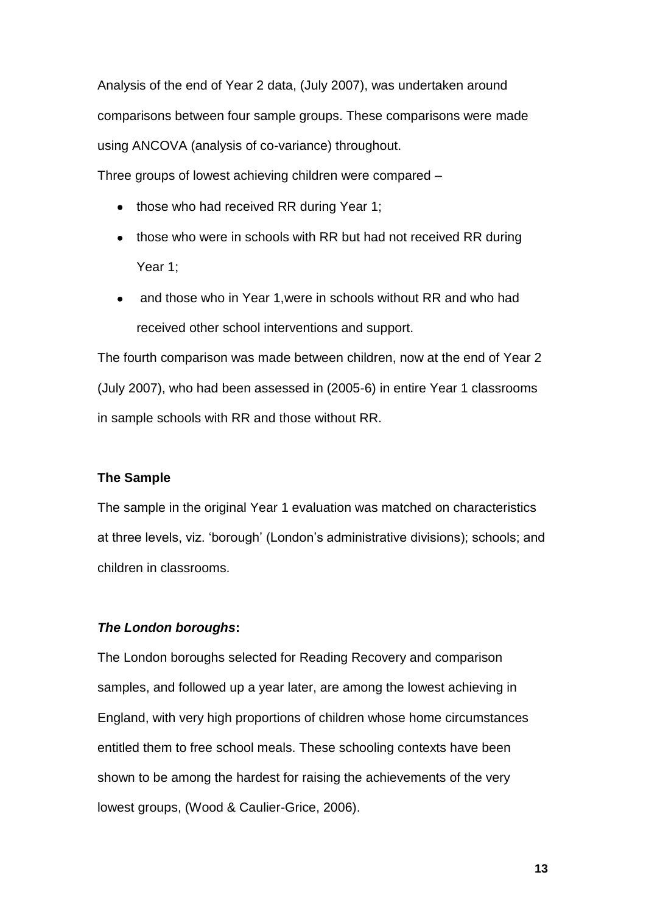Analysis of the end of Year 2 data, (July 2007), was undertaken around comparisons between four sample groups. These comparisons were made using ANCOVA (analysis of co-variance) throughout.

Three groups of lowest achieving children were compared –

- those who had received RR during Year 1;
- those who were in schools with RR but had not received RR during Year 1;
- and those who in Year 1, were in schools without RR and who had received other school interventions and support.

The fourth comparison was made between children, now at the end of Year 2 (July 2007), who had been assessed in (2005-6) in entire Year 1 classrooms in sample schools with RR and those without RR.

## **The Sample**

The sample in the original Year 1 evaluation was matched on characteristics at three levels, viz. "borough" (London"s administrative divisions); schools; and children in classrooms.

## *The London boroughs***:**

The London boroughs selected for Reading Recovery and comparison samples, and followed up a year later, are among the lowest achieving in England, with very high proportions of children whose home circumstances entitled them to free school meals. These schooling contexts have been shown to be among the hardest for raising the achievements of the very lowest groups, (Wood & Caulier-Grice, 2006).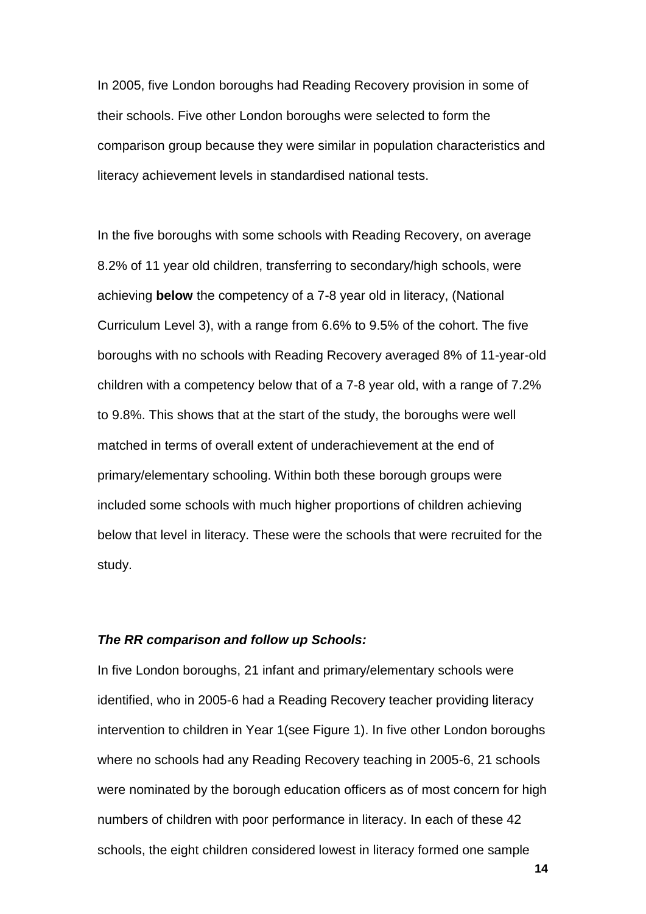In 2005, five London boroughs had Reading Recovery provision in some of their schools. Five other London boroughs were selected to form the comparison group because they were similar in population characteristics and literacy achievement levels in standardised national tests.

In the five boroughs with some schools with Reading Recovery, on average 8.2% of 11 year old children, transferring to secondary/high schools, were achieving **below** the competency of a 7-8 year old in literacy, (National Curriculum Level 3), with a range from 6.6% to 9.5% of the cohort. The five boroughs with no schools with Reading Recovery averaged 8% of 11-year-old children with a competency below that of a 7-8 year old, with a range of 7.2% to 9.8%. This shows that at the start of the study, the boroughs were well matched in terms of overall extent of underachievement at the end of primary/elementary schooling. Within both these borough groups were included some schools with much higher proportions of children achieving below that level in literacy. These were the schools that were recruited for the study.

## *The RR comparison and follow up Schools:*

In five London boroughs, 21 infant and primary/elementary schools were identified, who in 2005-6 had a Reading Recovery teacher providing literacy intervention to children in Year 1(see Figure 1). In five other London boroughs where no schools had any Reading Recovery teaching in 2005-6, 21 schools were nominated by the borough education officers as of most concern for high numbers of children with poor performance in literacy. In each of these 42 schools, the eight children considered lowest in literacy formed one sample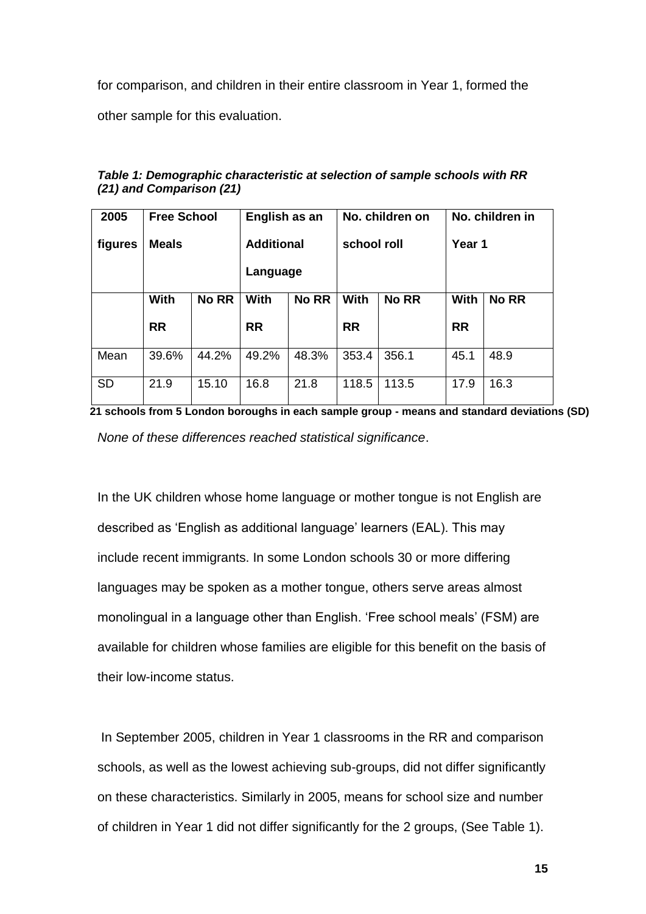for comparison, and children in their entire classroom in Year 1, formed the

other sample for this evaluation.

| 2005      | <b>Free School</b> |              | English as an     |              | No. children on |              | No. children in |              |
|-----------|--------------------|--------------|-------------------|--------------|-----------------|--------------|-----------------|--------------|
| figures   | <b>Meals</b>       |              | <b>Additional</b> |              | school roll     |              | Year 1          |              |
|           |                    |              | Language          |              |                 |              |                 |              |
|           | <b>With</b>        | <b>No RR</b> | With              | <b>No RR</b> | <b>With</b>     | <b>No RR</b> | <b>With</b>     | <b>No RR</b> |
|           | <b>RR</b>          |              | <b>RR</b>         |              | <b>RR</b>       |              | <b>RR</b>       |              |
| Mean      | 39.6%              | 44.2%        | 49.2%             | 48.3%        | 353.4           | 356.1        | 45.1            | 48.9         |
| <b>SD</b> | 21.9               | 15.10        | 16.8              | 21.8         | 118.5           | 113.5        | 17.9            | 16.3         |

*Table 1: Demographic characteristic at selection of sample schools with RR (21) and Comparison (21)*

**21 schools from 5 London boroughs in each sample group - means and standard deviations (SD)** *None of these differences reached statistical significance*.

In the UK children whose home language or mother tongue is not English are described as "English as additional language" learners (EAL). This may include recent immigrants. In some London schools 30 or more differing languages may be spoken as a mother tongue, others serve areas almost monolingual in a language other than English. "Free school meals" (FSM) are available for children whose families are eligible for this benefit on the basis of their low-income status.

In September 2005, children in Year 1 classrooms in the RR and comparison schools, as well as the lowest achieving sub-groups, did not differ significantly on these characteristics. Similarly in 2005, means for school size and number of children in Year 1 did not differ significantly for the 2 groups, (See Table 1).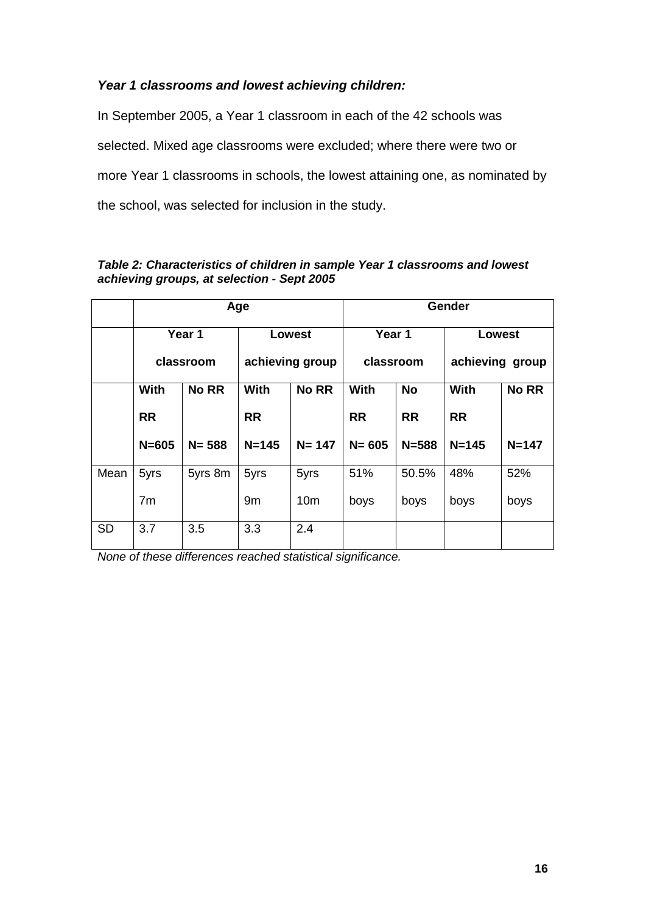# *Year 1 classrooms and lowest achieving children:*

In September 2005, a Year 1 classroom in each of the 42 schools was selected. Mixed age classrooms were excluded; where there were two or more Year 1 classrooms in schools, the lowest attaining one, as nominated by the school, was selected for inclusion in the study.

|           | Age            |              |                 |                 | Gender      |           |                 |              |
|-----------|----------------|--------------|-----------------|-----------------|-------------|-----------|-----------------|--------------|
|           |                | Year 1       | <b>Lowest</b>   |                 | Year 1      |           | Lowest          |              |
|           | classroom      |              | achieving group |                 | classroom   |           | achieving group |              |
|           | With           | <b>No RR</b> | <b>With</b>     | <b>No RR</b>    | <b>With</b> | <b>No</b> | With            | <b>No RR</b> |
|           | <b>RR</b>      |              | <b>RR</b>       |                 | <b>RR</b>   | <b>RR</b> | <b>RR</b>       |              |
|           | $N = 605$      | $N = 588$    | $N = 145$       | $N = 147$       | $N = 605$   | $N = 588$ | $N = 145$       | $N = 147$    |
| Mean      | 5yrs           | 5yrs 8m      | 5yrs            | 5yrs            | 51%         | 50.5%     | 48%             | 52%          |
|           | 7 <sub>m</sub> |              | 9m              | 10 <sub>m</sub> | boys        | boys      | boys            | boys         |
| <b>SD</b> | 3.7            | 3.5          | 3.3             | 2.4             |             |           |                 |              |

## *Table 2: Characteristics of children in sample Year 1 classrooms and lowest achieving groups, at selection - Sept 2005*

*None of these differences reached statistical significance.*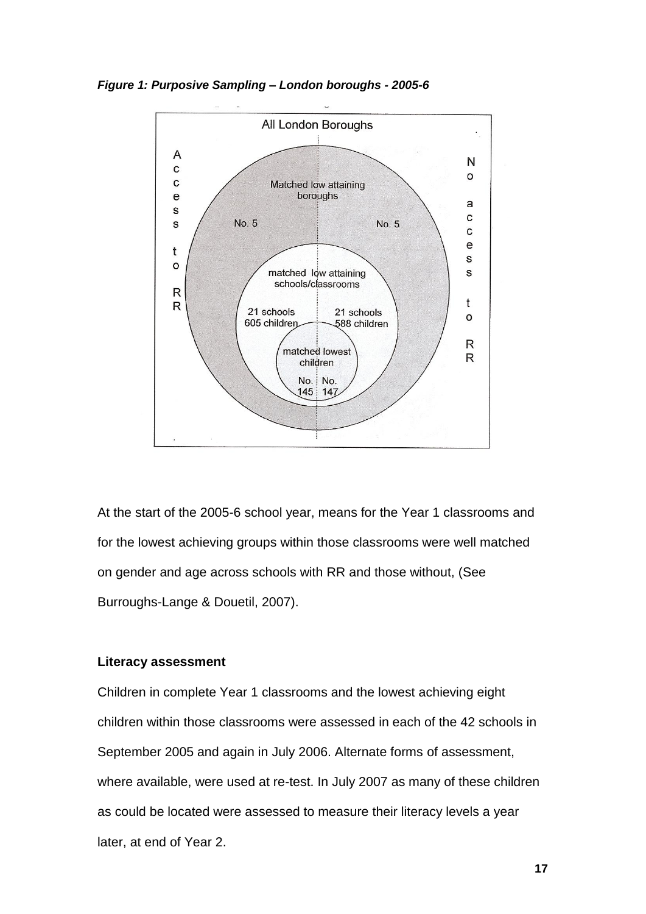*Figure 1: Purposive Sampling – London boroughs - 2005-6*



At the start of the 2005-6 school year, means for the Year 1 classrooms and for the lowest achieving groups within those classrooms were well matched on gender and age across schools with RR and those without, (See Burroughs-Lange & Douetil, 2007).

## **Literacy assessment**

Children in complete Year 1 classrooms and the lowest achieving eight children within those classrooms were assessed in each of the 42 schools in September 2005 and again in July 2006. Alternate forms of assessment, where available, were used at re-test. In July 2007 as many of these children as could be located were assessed to measure their literacy levels a year later, at end of Year 2.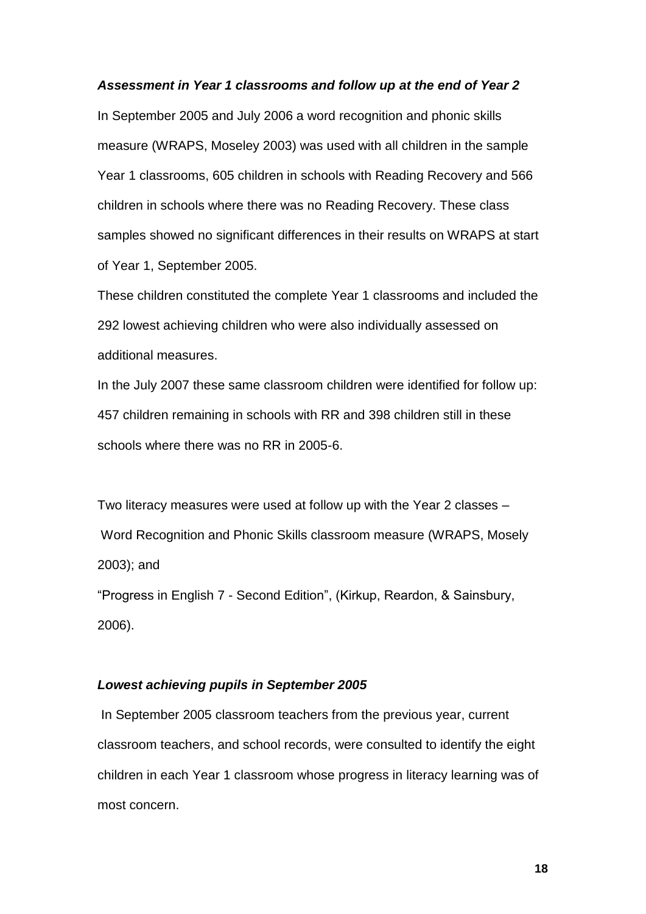#### *Assessment in Year 1 classrooms and follow up at the end of Year 2*

In September 2005 and July 2006 a word recognition and phonic skills measure (WRAPS, Moseley 2003) was used with all children in the sample Year 1 classrooms, 605 children in schools with Reading Recovery and 566 children in schools where there was no Reading Recovery. These class samples showed no significant differences in their results on WRAPS at start of Year 1, September 2005.

These children constituted the complete Year 1 classrooms and included the 292 lowest achieving children who were also individually assessed on additional measures.

In the July 2007 these same classroom children were identified for follow up: 457 children remaining in schools with RR and 398 children still in these schools where there was no RR in 2005-6.

Two literacy measures were used at follow up with the Year 2 classes – Word Recognition and Phonic Skills classroom measure (WRAPS, Mosely 2003); and

"Progress in English 7 - Second Edition", (Kirkup, Reardon, & Sainsbury, 2006).

### *Lowest achieving pupils in September 2005*

In September 2005 classroom teachers from the previous year, current classroom teachers, and school records, were consulted to identify the eight children in each Year 1 classroom whose progress in literacy learning was of most concern.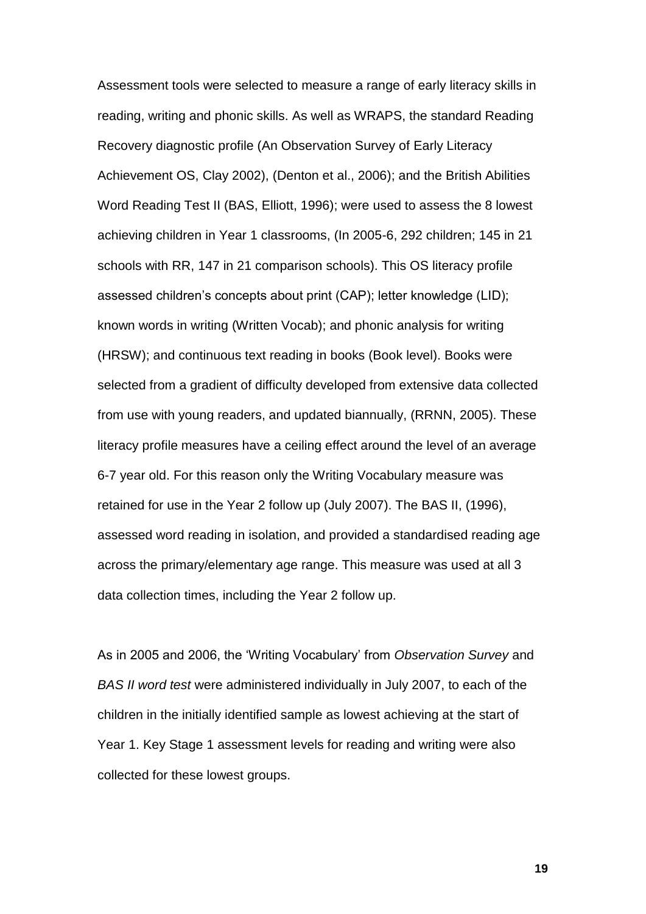Assessment tools were selected to measure a range of early literacy skills in reading, writing and phonic skills. As well as WRAPS, the standard Reading Recovery diagnostic profile (An Observation Survey of Early Literacy Achievement OS, Clay 2002), (Denton et al., 2006); and the British Abilities Word Reading Test II (BAS, Elliott, 1996); were used to assess the 8 lowest achieving children in Year 1 classrooms, (In 2005-6, 292 children; 145 in 21 schools with RR, 147 in 21 comparison schools). This OS literacy profile assessed children"s concepts about print (CAP); letter knowledge (LID); known words in writing (Written Vocab); and phonic analysis for writing (HRSW); and continuous text reading in books (Book level). Books were selected from a gradient of difficulty developed from extensive data collected from use with young readers, and updated biannually, (RRNN, 2005). These literacy profile measures have a ceiling effect around the level of an average 6-7 year old. For this reason only the Writing Vocabulary measure was retained for use in the Year 2 follow up (July 2007). The BAS II, (1996), assessed word reading in isolation, and provided a standardised reading age across the primary/elementary age range. This measure was used at all 3 data collection times, including the Year 2 follow up.

As in 2005 and 2006, the "Writing Vocabulary" from *Observation Survey* and *BAS II word test* were administered individually in July 2007, to each of the children in the initially identified sample as lowest achieving at the start of Year 1. Key Stage 1 assessment levels for reading and writing were also collected for these lowest groups.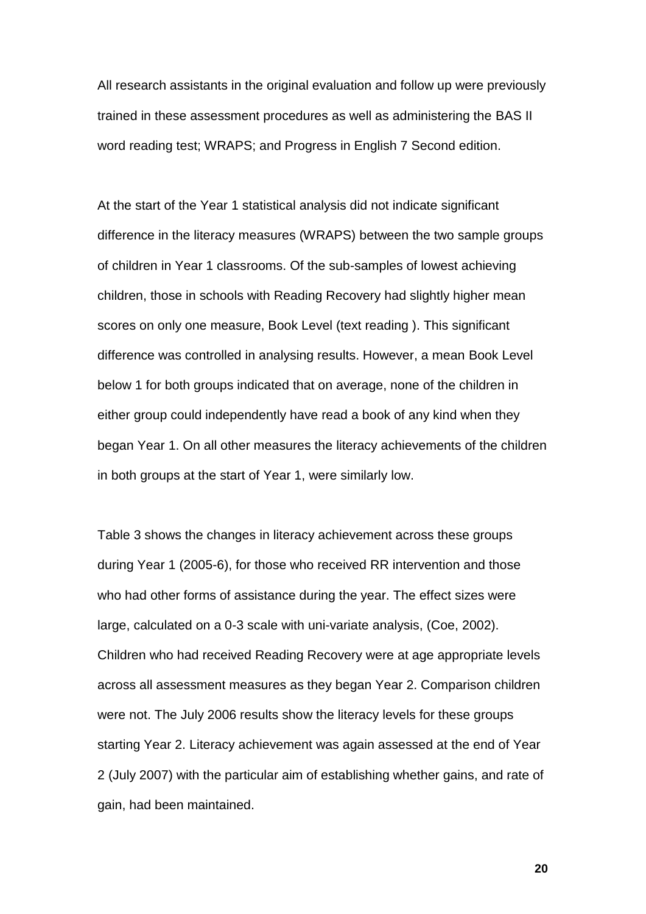All research assistants in the original evaluation and follow up were previously trained in these assessment procedures as well as administering the BAS II word reading test; WRAPS; and Progress in English 7 Second edition.

At the start of the Year 1 statistical analysis did not indicate significant difference in the literacy measures (WRAPS) between the two sample groups of children in Year 1 classrooms. Of the sub-samples of lowest achieving children, those in schools with Reading Recovery had slightly higher mean scores on only one measure, Book Level (text reading ). This significant difference was controlled in analysing results. However, a mean Book Level below 1 for both groups indicated that on average, none of the children in either group could independently have read a book of any kind when they began Year 1. On all other measures the literacy achievements of the children in both groups at the start of Year 1, were similarly low.

Table 3 shows the changes in literacy achievement across these groups during Year 1 (2005-6), for those who received RR intervention and those who had other forms of assistance during the year. The effect sizes were large, calculated on a 0-3 scale with uni-variate analysis, (Coe, 2002). Children who had received Reading Recovery were at age appropriate levels across all assessment measures as they began Year 2. Comparison children were not. The July 2006 results show the literacy levels for these groups starting Year 2. Literacy achievement was again assessed at the end of Year 2 (July 2007) with the particular aim of establishing whether gains, and rate of gain, had been maintained.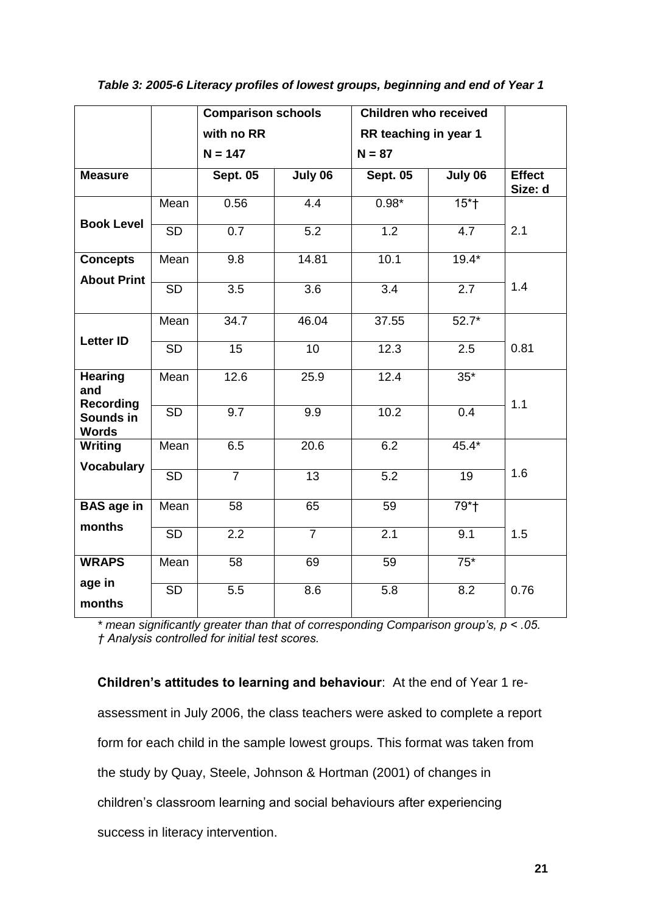|                                     |                 | <b>Comparison schools</b> |                  | <b>Children who received</b> |                     |                          |
|-------------------------------------|-----------------|---------------------------|------------------|------------------------------|---------------------|--------------------------|
|                                     |                 | with no RR                |                  | RR teaching in year 1        |                     |                          |
|                                     |                 | $N = 147$                 |                  | $N = 87$                     |                     |                          |
| <b>Measure</b>                      |                 | <b>Sept. 05</b>           | July 06          | <b>Sept. 05</b>              | July 06             | <b>Effect</b><br>Size: d |
|                                     | Mean            | 0.56                      | $4.\overline{4}$ | $0.98*$                      | $15*t$              |                          |
| <b>Book Level</b>                   | <b>SD</b>       | 0.7                       | 5.2              | 1.2                          | 4.7                 | 2.1                      |
| <b>Concepts</b>                     | Mean            | 9.8                       | 14.81            | 10.1                         | $19.4*$             |                          |
| <b>About Print</b>                  | <b>SD</b>       | 3.5                       | 3.6              | 3.4                          | 2.7                 | 1.4                      |
|                                     | Mean            | 34.7                      | 46.04            | 37.55                        | $\overline{5}2.7^*$ |                          |
| <b>Letter ID</b>                    | $\overline{SD}$ | $\overline{15}$           | 10               | 12.3                         | 2.5                 | 0.81                     |
| <b>Hearing</b><br>and<br>Recording  | Mean            | 12.6                      | 25.9             | 12.4                         | $35*$               | 1.1                      |
| Sounds in<br><b>Words</b>           | <b>SD</b>       | 9.7                       | 9.9              | 10.2                         | 0.4                 |                          |
| <b>Writing</b><br><b>Vocabulary</b> | Mean            | 6.5                       | 20.6             | 6.2                          | $45.4*$             |                          |
|                                     | <b>SD</b>       | $\overline{7}$            | 13               | 5.2                          | 19                  | 1.6                      |
| <b>BAS</b> age in                   | Mean            | 58                        | 65               | 59                           | $79*$               |                          |
| months                              | <b>SD</b>       | 2.2                       | $\overline{7}$   | 2.1                          | 9.1                 | 1.5                      |
| <b>WRAPS</b>                        | Mean            | $\overline{58}$           | 69               | 59                           | $75*$               |                          |
| age in<br>months                    | <b>SD</b>       | 5.5                       | 8.6              | 5.8                          | 8.2                 | 0.76                     |

*\* mean significantly greater than that of corresponding Comparison group's, p < .05. † Analysis controlled for initial test scores.*

**Children's attitudes to learning and behaviour**: At the end of Year 1 reassessment in July 2006, the class teachers were asked to complete a report form for each child in the sample lowest groups. This format was taken from the study by Quay, Steele, Johnson & Hortman (2001) of changes in children"s classroom learning and social behaviours after experiencing success in literacy intervention.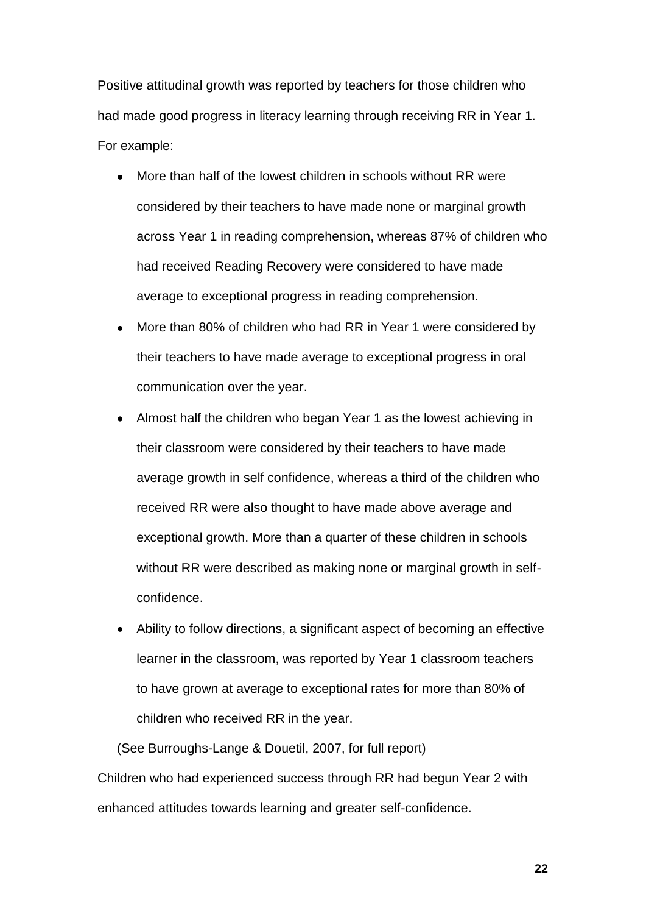Positive attitudinal growth was reported by teachers for those children who had made good progress in literacy learning through receiving RR in Year 1. For example:

- More than half of the lowest children in schools without RR were considered by their teachers to have made none or marginal growth across Year 1 in reading comprehension, whereas 87% of children who had received Reading Recovery were considered to have made average to exceptional progress in reading comprehension.
- More than 80% of children who had RR in Year 1 were considered by  $\bullet$ their teachers to have made average to exceptional progress in oral communication over the year.
- Almost half the children who began Year 1 as the lowest achieving in their classroom were considered by their teachers to have made average growth in self confidence, whereas a third of the children who received RR were also thought to have made above average and exceptional growth. More than a quarter of these children in schools without RR were described as making none or marginal growth in selfconfidence.
- Ability to follow directions, a significant aspect of becoming an effective learner in the classroom, was reported by Year 1 classroom teachers to have grown at average to exceptional rates for more than 80% of children who received RR in the year.

(See Burroughs-Lange & Douetil, 2007, for full report) Children who had experienced success through RR had begun Year 2 with enhanced attitudes towards learning and greater self-confidence.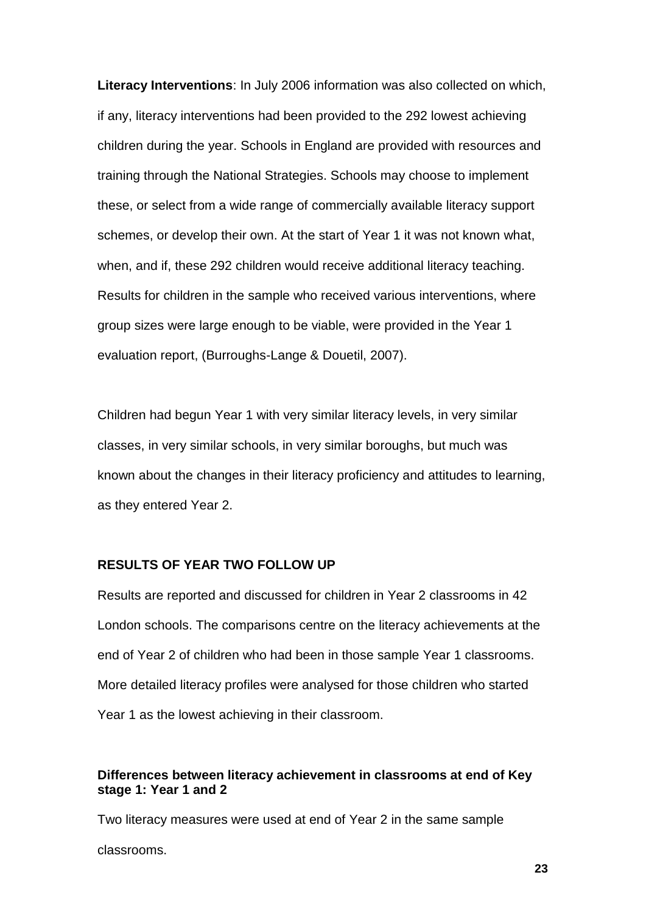**Literacy Interventions**: In July 2006 information was also collected on which, if any, literacy interventions had been provided to the 292 lowest achieving children during the year. Schools in England are provided with resources and training through the National Strategies. Schools may choose to implement these, or select from a wide range of commercially available literacy support schemes, or develop their own. At the start of Year 1 it was not known what, when, and if, these 292 children would receive additional literacy teaching. Results for children in the sample who received various interventions, where group sizes were large enough to be viable, were provided in the Year 1 evaluation report, (Burroughs-Lange & Douetil, 2007).

Children had begun Year 1 with very similar literacy levels, in very similar classes, in very similar schools, in very similar boroughs, but much was known about the changes in their literacy proficiency and attitudes to learning, as they entered Year 2.

## **RESULTS OF YEAR TWO FOLLOW UP**

Results are reported and discussed for children in Year 2 classrooms in 42 London schools. The comparisons centre on the literacy achievements at the end of Year 2 of children who had been in those sample Year 1 classrooms. More detailed literacy profiles were analysed for those children who started Year 1 as the lowest achieving in their classroom.

## **Differences between literacy achievement in classrooms at end of Key stage 1: Year 1 and 2**

Two literacy measures were used at end of Year 2 in the same sample

classrooms.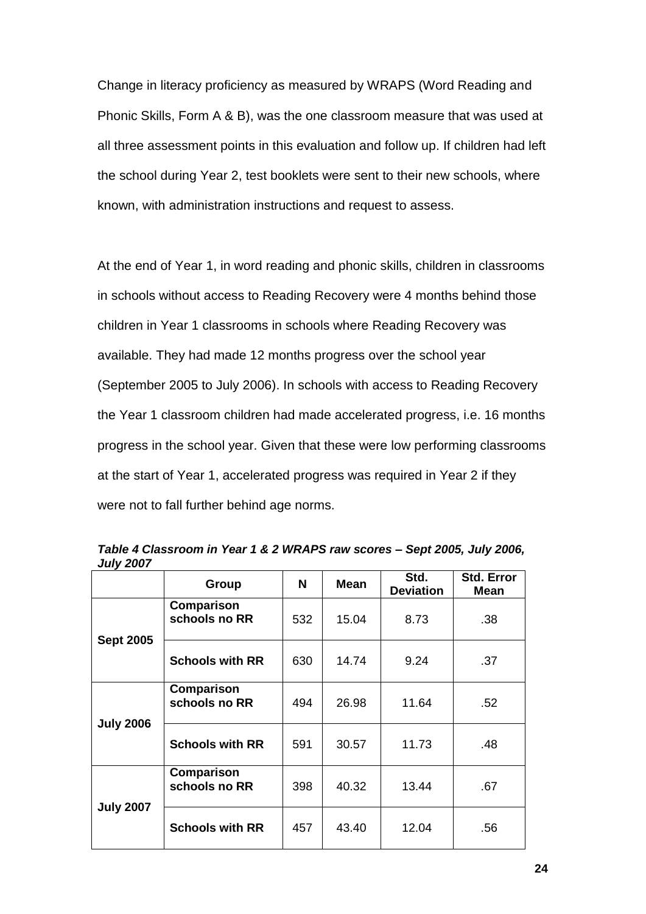Change in literacy proficiency as measured by WRAPS (Word Reading and Phonic Skills, Form A & B), was the one classroom measure that was used at all three assessment points in this evaluation and follow up. If children had left the school during Year 2, test booklets were sent to their new schools, where known, with administration instructions and request to assess.

At the end of Year 1, in word reading and phonic skills, children in classrooms in schools without access to Reading Recovery were 4 months behind those children in Year 1 classrooms in schools where Reading Recovery was available. They had made 12 months progress over the school year (September 2005 to July 2006). In schools with access to Reading Recovery the Year 1 classroom children had made accelerated progress, i.e. 16 months progress in the school year. Given that these were low performing classrooms at the start of Year 1, accelerated progress was required in Year 2 if they were not to fall further behind age norms.

|                  | <b>Group</b>                | N   | <b>Mean</b> | Std.<br><b>Deviation</b> | <b>Std. Error</b><br>Mean |
|------------------|-----------------------------|-----|-------------|--------------------------|---------------------------|
| <b>Sept 2005</b> | Comparison<br>schools no RR | 532 | 15.04       | 8.73                     | .38                       |
|                  | <b>Schools with RR</b>      | 630 | 14.74       | 9.24                     | .37                       |
|                  | Comparison<br>schools no RR | 494 | 26.98       | 11.64                    | .52                       |
| <b>July 2006</b> | <b>Schools with RR</b>      | 591 | 30.57       | 11.73                    | .48                       |
| <b>July 2007</b> | Comparison<br>schools no RR | 398 | 40.32       | 13.44                    | .67                       |
|                  | <b>Schools with RR</b>      | 457 | 43.40       | 12.04                    | .56                       |

*Table 4 Classroom in Year 1 & 2 WRAPS raw scores – Sept 2005, July 2006, July 2007*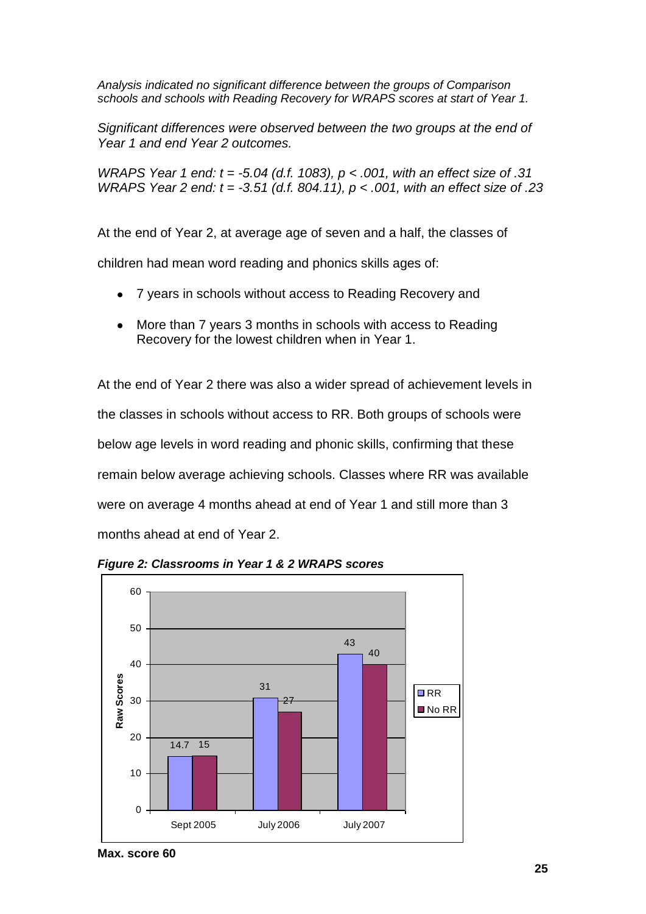*Analysis indicated no significant difference between the groups of Comparison schools and schools with Reading Recovery for WRAPS scores at start of Year 1.*

*Significant differences were observed between the two groups at the end of Year 1 and end Year 2 outcomes.* 

*WRAPS Year 1 end: t = -5.04 (d.f. 1083), p < .001, with an effect size of .31 WRAPS Year 2 end: t = -3.51 (d.f. 804.11), p < .001, with an effect size of .23*

At the end of Year 2, at average age of seven and a half, the classes of

children had mean word reading and phonics skills ages of:

- 7 years in schools without access to Reading Recovery and  $\bullet$
- More than 7 years 3 months in schools with access to Reading  $\bullet$ Recovery for the lowest children when in Year 1.

At the end of Year 2 there was also a wider spread of achievement levels in the classes in schools without access to RR. Both groups of schools were below age levels in word reading and phonic skills, confirming that these remain below average achieving schools. Classes where RR was available were on average 4 months ahead at end of Year 1 and still more than 3 months ahead at end of Year 2.



*Figure 2: Classrooms in Year 1 & 2 WRAPS scores*

**Max. score 60**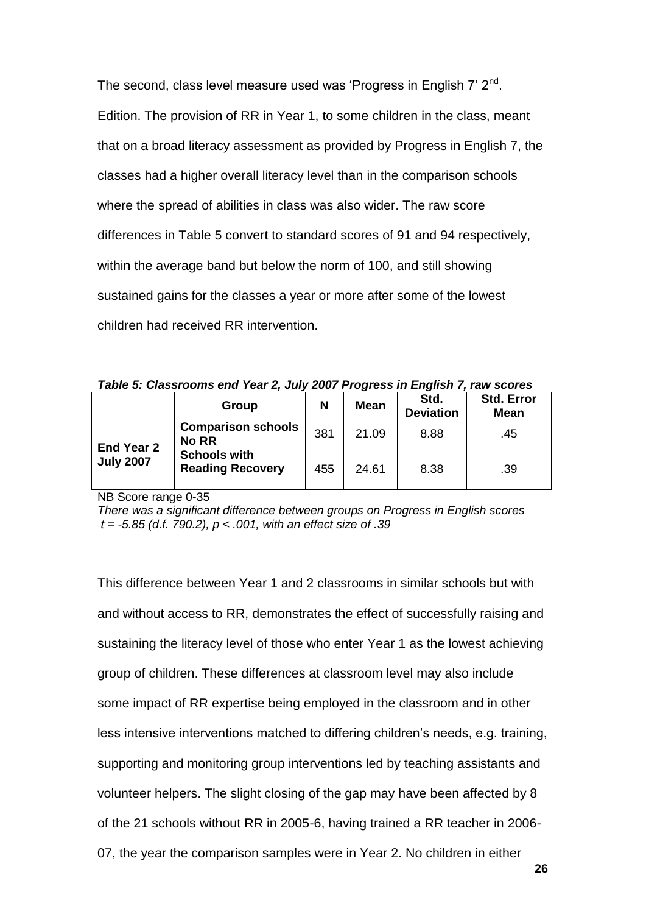The second, class level measure used was 'Progress in English 7' 2<sup>nd</sup>. Edition. The provision of RR in Year 1, to some children in the class, meant that on a broad literacy assessment as provided by Progress in English 7, the classes had a higher overall literacy level than in the comparison schools where the spread of abilities in class was also wider. The raw score differences in Table 5 convert to standard scores of 91 and 94 respectively, within the average band but below the norm of 100, and still showing sustained gains for the classes a year or more after some of the lowest children had received RR intervention.

*Table 5: Classrooms end Year 2, July 2007 Progress in English 7, raw scores*

|                                       |                                                |     | . .         |                          |                                  |
|---------------------------------------|------------------------------------------------|-----|-------------|--------------------------|----------------------------------|
|                                       | Group                                          | N   | <b>Mean</b> | Std.<br><b>Deviation</b> | <b>Std. Error</b><br><b>Mean</b> |
| <b>End Year 2</b><br><b>July 2007</b> | <b>Comparison schools</b><br><b>No RR</b>      | 381 | 21.09       | 8.88                     | .45                              |
|                                       | <b>Schools with</b><br><b>Reading Recovery</b> | 455 | 24.61       | 8.38                     | .39                              |

NB Score range 0-35

*There was a significant difference between groups on Progress in English scores t = -5.85 (d.f. 790.2), p < .001, with an effect size of .39*

This difference between Year 1 and 2 classrooms in similar schools but with and without access to RR, demonstrates the effect of successfully raising and sustaining the literacy level of those who enter Year 1 as the lowest achieving group of children. These differences at classroom level may also include some impact of RR expertise being employed in the classroom and in other less intensive interventions matched to differing children"s needs, e.g. training, supporting and monitoring group interventions led by teaching assistants and volunteer helpers. The slight closing of the gap may have been affected by 8 of the 21 schools without RR in 2005-6, having trained a RR teacher in 2006- 07, the year the comparison samples were in Year 2. No children in either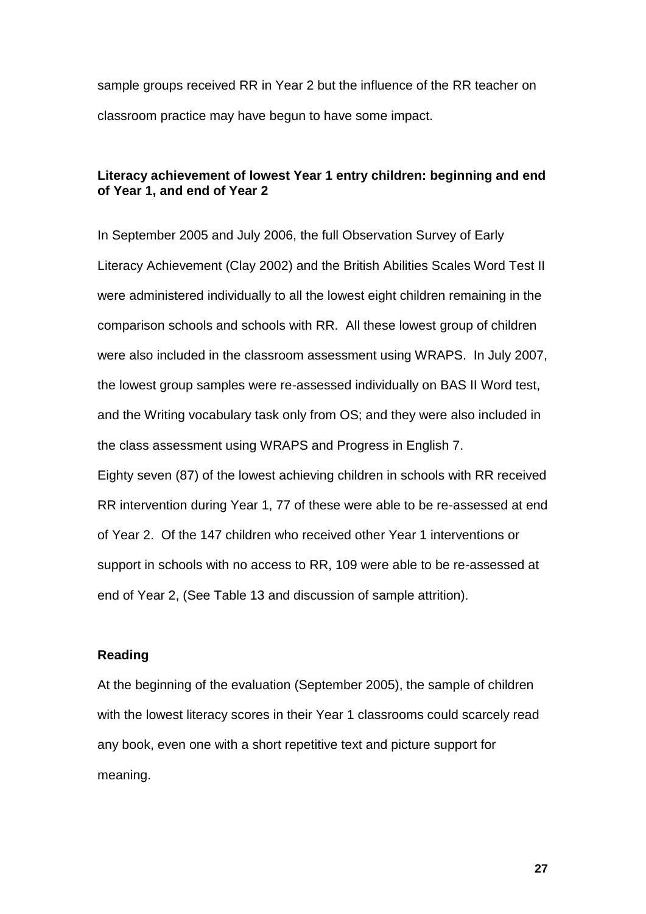sample groups received RR in Year 2 but the influence of the RR teacher on classroom practice may have begun to have some impact.

## **Literacy achievement of lowest Year 1 entry children: beginning and end of Year 1, and end of Year 2**

In September 2005 and July 2006, the full Observation Survey of Early Literacy Achievement (Clay 2002) and the British Abilities Scales Word Test II were administered individually to all the lowest eight children remaining in the comparison schools and schools with RR. All these lowest group of children were also included in the classroom assessment using WRAPS. In July 2007, the lowest group samples were re-assessed individually on BAS II Word test, and the Writing vocabulary task only from OS; and they were also included in the class assessment using WRAPS and Progress in English 7.

Eighty seven (87) of the lowest achieving children in schools with RR received RR intervention during Year 1, 77 of these were able to be re-assessed at end of Year 2. Of the 147 children who received other Year 1 interventions or support in schools with no access to RR, 109 were able to be re-assessed at end of Year 2, (See Table 13 and discussion of sample attrition).

## **Reading**

At the beginning of the evaluation (September 2005), the sample of children with the lowest literacy scores in their Year 1 classrooms could scarcely read any book, even one with a short repetitive text and picture support for meaning.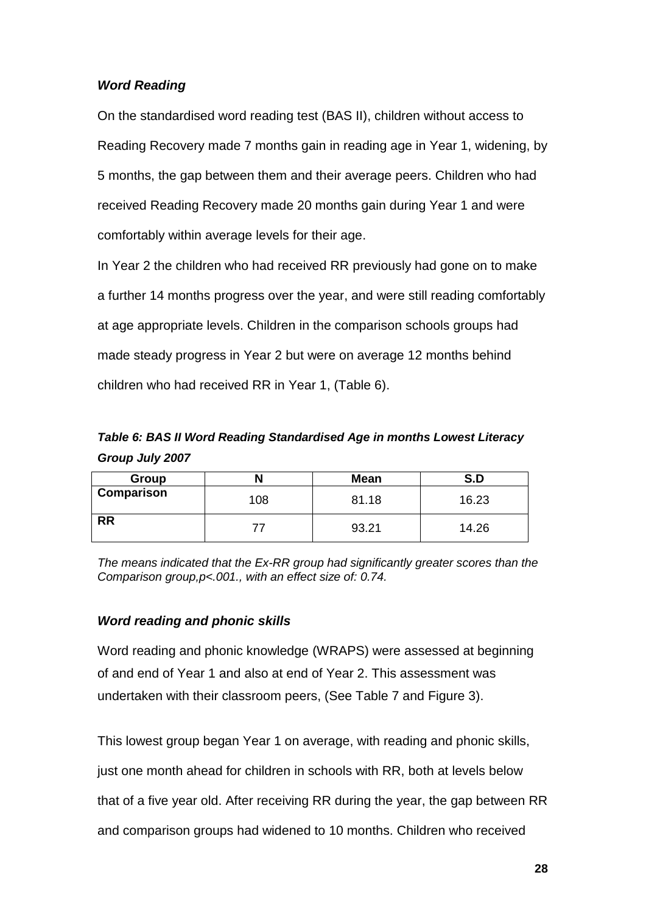# *Word Reading*

On the standardised word reading test (BAS II), children without access to Reading Recovery made 7 months gain in reading age in Year 1, widening, by 5 months, the gap between them and their average peers. Children who had received Reading Recovery made 20 months gain during Year 1 and were comfortably within average levels for their age.

In Year 2 the children who had received RR previously had gone on to make a further 14 months progress over the year, and were still reading comfortably at age appropriate levels. Children in the comparison schools groups had made steady progress in Year 2 but were on average 12 months behind children who had received RR in Year 1, (Table 6).

*Table 6: BAS II Word Reading Standardised Age in months Lowest Literacy Group July 2007*

| Group             |     | <b>Mean</b> | S.D   |
|-------------------|-----|-------------|-------|
| <b>Comparison</b> | 108 | 81.18       | 16.23 |
| <b>RR</b>         |     | 93.21       | 14.26 |

*The means indicated that the Ex-RR group had significantly greater scores than the Comparison group,p<.001., with an effect size of: 0.74.*

# *Word reading and phonic skills*

Word reading and phonic knowledge (WRAPS) were assessed at beginning of and end of Year 1 and also at end of Year 2. This assessment was undertaken with their classroom peers, (See Table 7 and Figure 3).

This lowest group began Year 1 on average, with reading and phonic skills, just one month ahead for children in schools with RR, both at levels below that of a five year old. After receiving RR during the year, the gap between RR and comparison groups had widened to 10 months. Children who received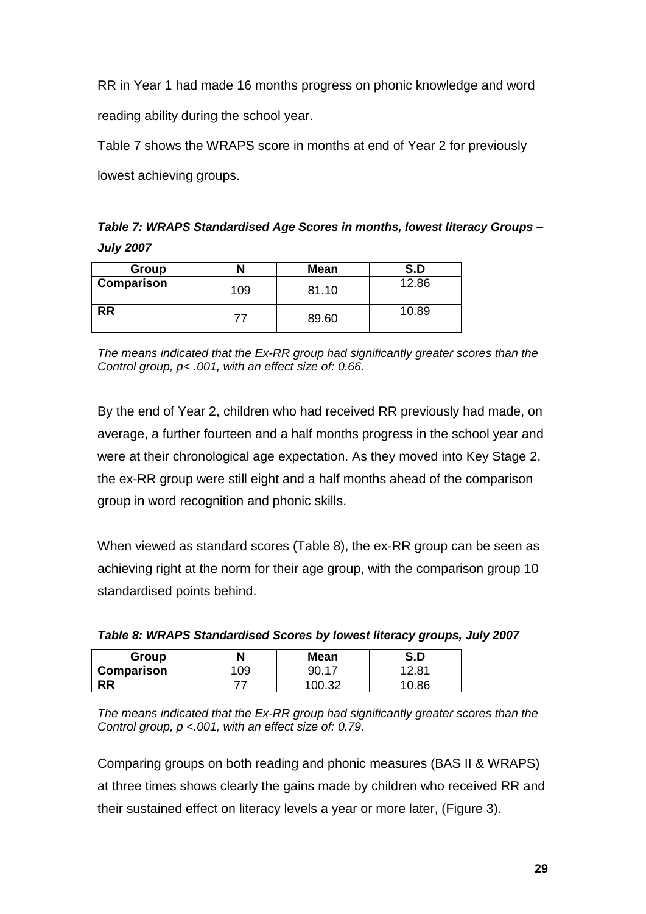RR in Year 1 had made 16 months progress on phonic knowledge and word reading ability during the school year.

Table 7 shows the WRAPS score in months at end of Year 2 for previously lowest achieving groups.

*Table 7: WRAPS Standardised Age Scores in months, lowest literacy Groups – July 2007*

| Group      |     | <b>Mean</b> | S.D   |
|------------|-----|-------------|-------|
| Comparison | 109 | 81.10       | 12.86 |
| RR         | 77  | 89.60       | 10.89 |

*The means indicated that the Ex-RR group had significantly greater scores than the Control group, p< .001, with an effect size of: 0.66.*

By the end of Year 2, children who had received RR previously had made, on average, a further fourteen and a half months progress in the school year and were at their chronological age expectation. As they moved into Key Stage 2, the ex-RR group were still eight and a half months ahead of the comparison group in word recognition and phonic skills.

When viewed as standard scores (Table 8), the ex-RR group can be seen as achieving right at the norm for their age group, with the comparison group 10 standardised points behind.

| Group      | N   | <b>Mean</b> | S.D         |
|------------|-----|-------------|-------------|
| Comparison | 109 | an 17       | 2.81<br>ּ י |
| RR         |     |             | 10.86       |

| Table 8: WRAPS Standardised Scores by lowest literacy groups, July 2007 |  |
|-------------------------------------------------------------------------|--|
|-------------------------------------------------------------------------|--|

*The means indicated that the Ex-RR group had significantly greater scores than the Control group, p <.001, with an effect size of: 0.79.*

Comparing groups on both reading and phonic measures (BAS II & WRAPS) at three times shows clearly the gains made by children who received RR and their sustained effect on literacy levels a year or more later, (Figure 3).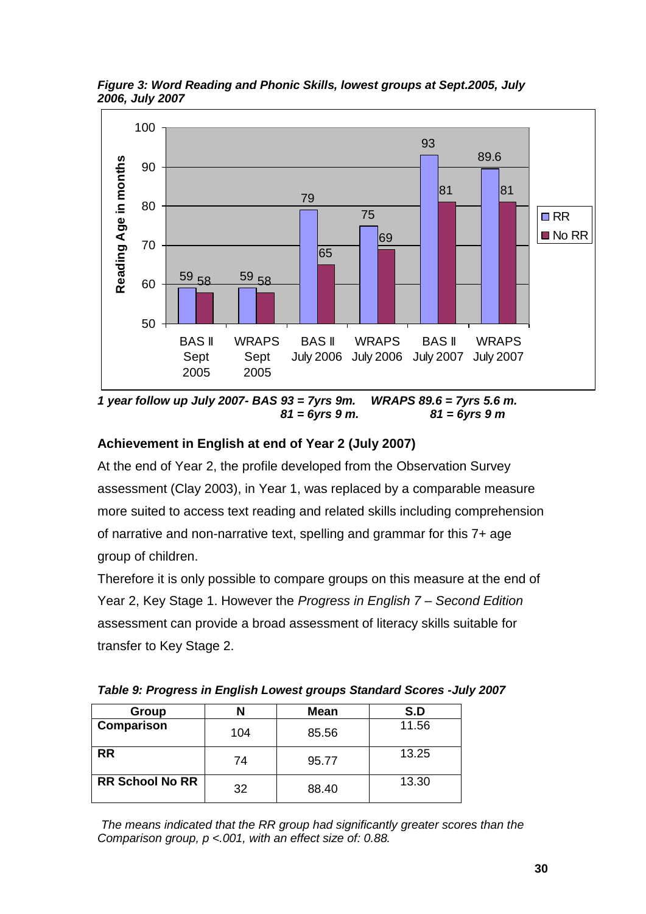*Figure 3: Word Reading and Phonic Skills, lowest groups at Sept.2005, July 2006, July 2007* 



*1 year follow up July 2007- BAS 93 = 7yrs 9m. WRAPS 89.6 = 7yrs 5.6 m. 81 = 6yrs 9 m. 81 = 6yrs 9 m*

# **Achievement in English at end of Year 2 (July 2007)**

At the end of Year 2, the profile developed from the Observation Survey assessment (Clay 2003), in Year 1, was replaced by a comparable measure more suited to access text reading and related skills including comprehension of narrative and non-narrative text, spelling and grammar for this 7+ age group of children.

Therefore it is only possible to compare groups on this measure at the end of Year 2, Key Stage 1. However the *Progress in English 7 – Second Edition* assessment can provide a broad assessment of literacy skills suitable for transfer to Key Stage 2.

*Table 9: Progress in English Lowest groups Standard Scores -July 2007*

| Group                  | N   | <b>Mean</b> | S.D   |
|------------------------|-----|-------------|-------|
| Comparison             | 104 | 85.56       | 11.56 |
| <b>RR</b>              | 74  | 95.77       | 13.25 |
| <b>RR School No RR</b> | 32  | 88.40       | 13.30 |

*The means indicated that the RR group had significantly greater scores than the Comparison group, p <.001, with an effect size of: 0.88.*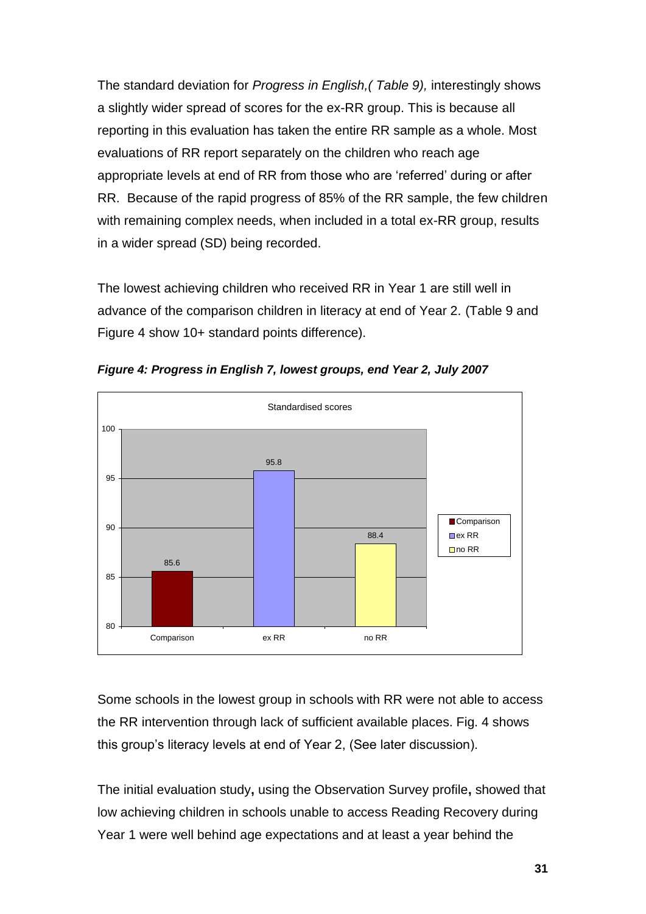The standard deviation for *Progress in English,( Table 9),* interestingly shows a slightly wider spread of scores for the ex-RR group. This is because all reporting in this evaluation has taken the entire RR sample as a whole. Most evaluations of RR report separately on the children who reach age appropriate levels at end of RR from those who are "referred" during or after RR. Because of the rapid progress of 85% of the RR sample, the few children with remaining complex needs, when included in a total ex-RR group, results in a wider spread (SD) being recorded.

The lowest achieving children who received RR in Year 1 are still well in advance of the comparison children in literacy at end of Year 2. (Table 9 and Figure 4 show 10+ standard points difference).



*Figure 4: Progress in English 7, lowest groups, end Year 2, July 2007*

Some schools in the lowest group in schools with RR were not able to access the RR intervention through lack of sufficient available places. Fig. 4 shows this group"s literacy levels at end of Year 2, (See later discussion).

The initial evaluation study**,** using the Observation Survey profile**,** showed that low achieving children in schools unable to access Reading Recovery during Year 1 were well behind age expectations and at least a year behind the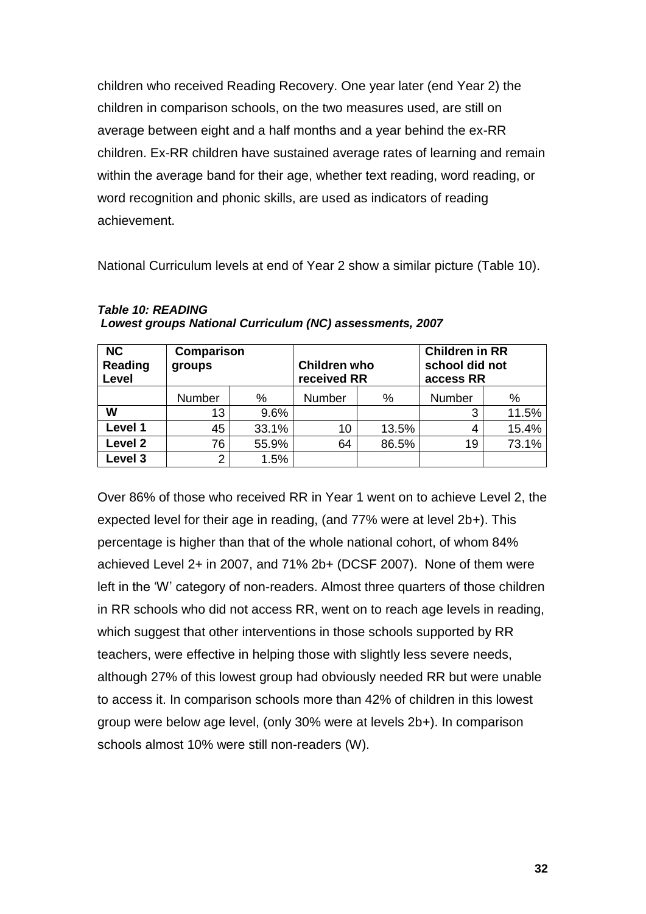children who received Reading Recovery. One year later (end Year 2) the children in comparison schools, on the two measures used, are still on average between eight and a half months and a year behind the ex-RR children. Ex-RR children have sustained average rates of learning and remain within the average band for their age, whether text reading, word reading, or word recognition and phonic skills, are used as indicators of reading achievement.

National Curriculum levels at end of Year 2 show a similar picture (Table 10).

| <b>NC</b><br>Reading<br>Level | Comparison<br>groups |       | <b>Children who</b><br>received RR |       | <b>Children in RR</b><br>school did not<br>access RR |       |
|-------------------------------|----------------------|-------|------------------------------------|-------|------------------------------------------------------|-------|
|                               | Number               | %     | Number                             | %     | Number                                               | %     |
| W                             | 13                   | 9.6%  |                                    |       | 3                                                    | 11.5% |
| Level 1                       | 45                   | 33.1% | 10                                 | 13.5% | 4                                                    | 15.4% |
| Level 2                       | 76                   | 55.9% | 64                                 | 86.5% | 19                                                   | 73.1% |
| Level 3                       | 2                    | 1.5%  |                                    |       |                                                      |       |

| Table TU: READING                                        |  |
|----------------------------------------------------------|--|
| Lowest groups National Curriculum (NC) assessments, 2007 |  |

*Table 10: READING* 

Over 86% of those who received RR in Year 1 went on to achieve Level 2, the expected level for their age in reading, (and 77% were at level 2b+). This percentage is higher than that of the whole national cohort, of whom 84% achieved Level 2+ in 2007, and 71% 2b+ (DCSF 2007). None of them were left in the "W" category of non-readers. Almost three quarters of those children in RR schools who did not access RR, went on to reach age levels in reading, which suggest that other interventions in those schools supported by RR teachers, were effective in helping those with slightly less severe needs, although 27% of this lowest group had obviously needed RR but were unable to access it. In comparison schools more than 42% of children in this lowest group were below age level, (only 30% were at levels 2b+). In comparison schools almost 10% were still non-readers (W).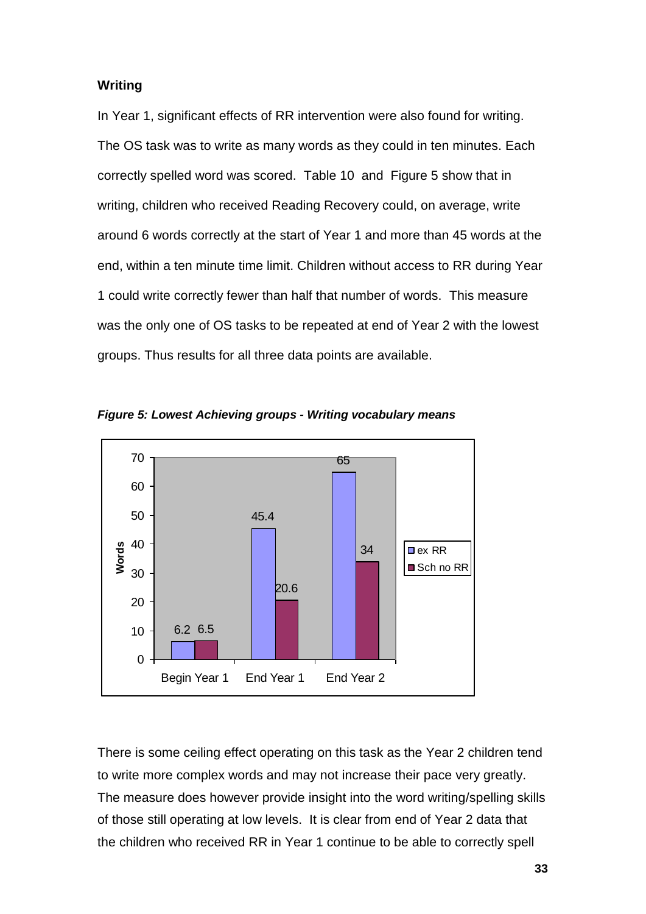## **Writing**

In Year 1, significant effects of RR intervention were also found for writing. The OS task was to write as many words as they could in ten minutes. Each correctly spelled word was scored. Table 10 and Figure 5 show that in writing, children who received Reading Recovery could, on average, write around 6 words correctly at the start of Year 1 and more than 45 words at the end, within a ten minute time limit. Children without access to RR during Year 1 could write correctly fewer than half that number of words. This measure was the only one of OS tasks to be repeated at end of Year 2 with the lowest groups. Thus results for all three data points are available.



*Figure 5: Lowest Achieving groups - Writing vocabulary means*

There is some ceiling effect operating on this task as the Year 2 children tend to write more complex words and may not increase their pace very greatly. The measure does however provide insight into the word writing/spelling skills of those still operating at low levels. It is clear from end of Year 2 data that the children who received RR in Year 1 continue to be able to correctly spell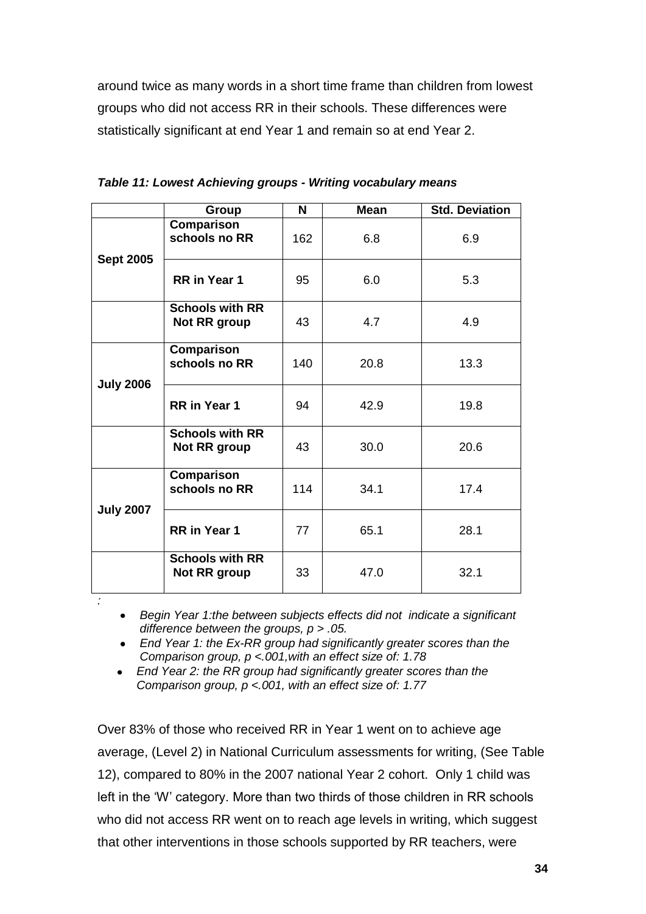around twice as many words in a short time frame than children from lowest groups who did not access RR in their schools. These differences were statistically significant at end Year 1 and remain so at end Year 2.

|                  | Group                                         | N   | <b>Mean</b> | <b>Std. Deviation</b> |
|------------------|-----------------------------------------------|-----|-------------|-----------------------|
|                  | Comparison<br>schools no RR                   | 162 | 6.8         | 6.9                   |
| <b>Sept 2005</b> | RR in Year 1                                  | 95  | 6.0         | 5.3                   |
|                  | <b>Schools with RR</b><br>Not RR group        | 43  | 4.7         | 4.9                   |
|                  | Comparison<br>schools no RR                   | 140 | 20.8        | 13.3                  |
| <b>July 2006</b> | <b>RR</b> in Year 1                           | 94  | 42.9        | 19.8                  |
|                  | <b>Schools with RR</b><br><b>Not RR group</b> | 43  | 30.0        | 20.6                  |
|                  | Comparison<br>schools no RR                   | 114 | 34.1        | 17.4                  |
| <b>July 2007</b> | <b>RR</b> in Year 1                           | 77  | 65.1        | 28.1                  |
|                  | <b>Schools with RR</b><br>Not RR group        | 33  | 47.0        | 32.1                  |

| Table 11: Lowest Achieving groups - Writing vocabulary means |  |  |
|--------------------------------------------------------------|--|--|
|                                                              |  |  |

*Begin Year 1:the between subjects effects did not indicate a significant difference between the groups, p > .05.*

- *End Year 1: the Ex-RR group had significantly greater scores than the Comparison group, p <.001,with an effect size of: 1.78*
- $\bullet$ *End Year 2: the RR group had significantly greater scores than the Comparison group, p <.001, with an effect size of: 1.77*

*:*

Over 83% of those who received RR in Year 1 went on to achieve age average, (Level 2) in National Curriculum assessments for writing, (See Table 12), compared to 80% in the 2007 national Year 2 cohort. Only 1 child was left in the "W" category. More than two thirds of those children in RR schools who did not access RR went on to reach age levels in writing, which suggest that other interventions in those schools supported by RR teachers, were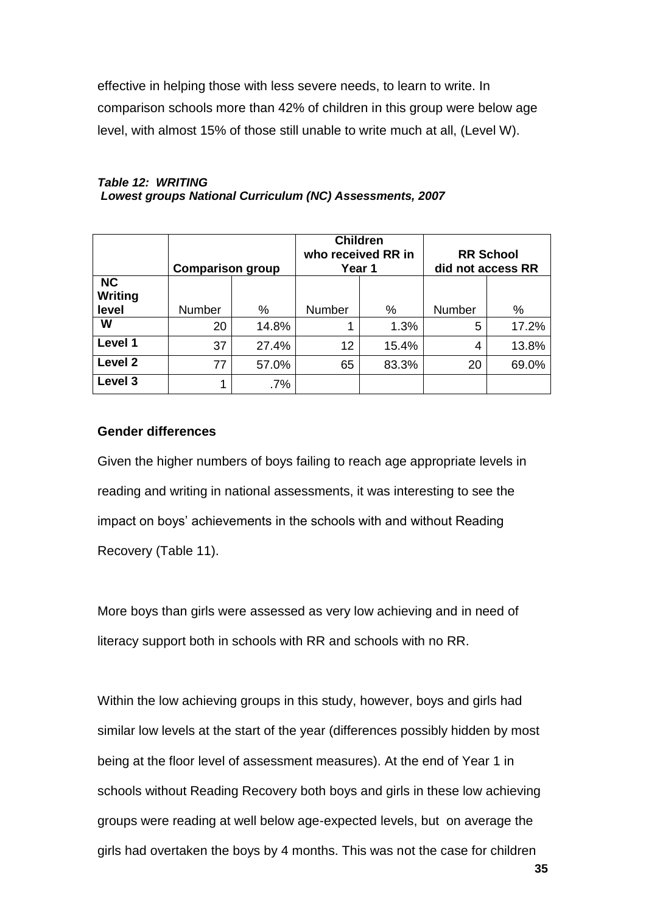effective in helping those with less severe needs, to learn to write. In comparison schools more than 42% of children in this group were below age level, with almost 15% of those still unable to write much at all, (Level W).

#### *Table 12: WRITING Lowest groups National Curriculum (NC) Assessments, 2007*

|                                      | <b>Comparison group</b> |        |        | <b>Children</b><br>who received RR in<br>Year 1 | <b>RR School</b><br>did not access RR |       |  |
|--------------------------------------|-------------------------|--------|--------|-------------------------------------------------|---------------------------------------|-------|--|
| <b>NC</b><br><b>Writing</b><br>level | Number                  | %      | Number | %                                               | Number                                | %     |  |
| W                                    | 20                      | 14.8%  | 1      | 1.3%                                            | 5                                     | 17.2% |  |
| Level 1                              | 37                      | 27.4%  | 12     | 15.4%                                           | 4                                     | 13.8% |  |
| Level 2                              | 77                      | 57.0%  | 65     | 83.3%                                           | 20                                    | 69.0% |  |
| Level 3                              | 1                       | $.7\%$ |        |                                                 |                                       |       |  |

## **Gender differences**

Given the higher numbers of boys failing to reach age appropriate levels in reading and writing in national assessments, it was interesting to see the impact on boys" achievements in the schools with and without Reading Recovery (Table 11).

More boys than girls were assessed as very low achieving and in need of literacy support both in schools with RR and schools with no RR.

Within the low achieving groups in this study, however, boys and girls had similar low levels at the start of the year (differences possibly hidden by most being at the floor level of assessment measures). At the end of Year 1 in schools without Reading Recovery both boys and girls in these low achieving groups were reading at well below age-expected levels, but on average the girls had overtaken the boys by 4 months. This was not the case for children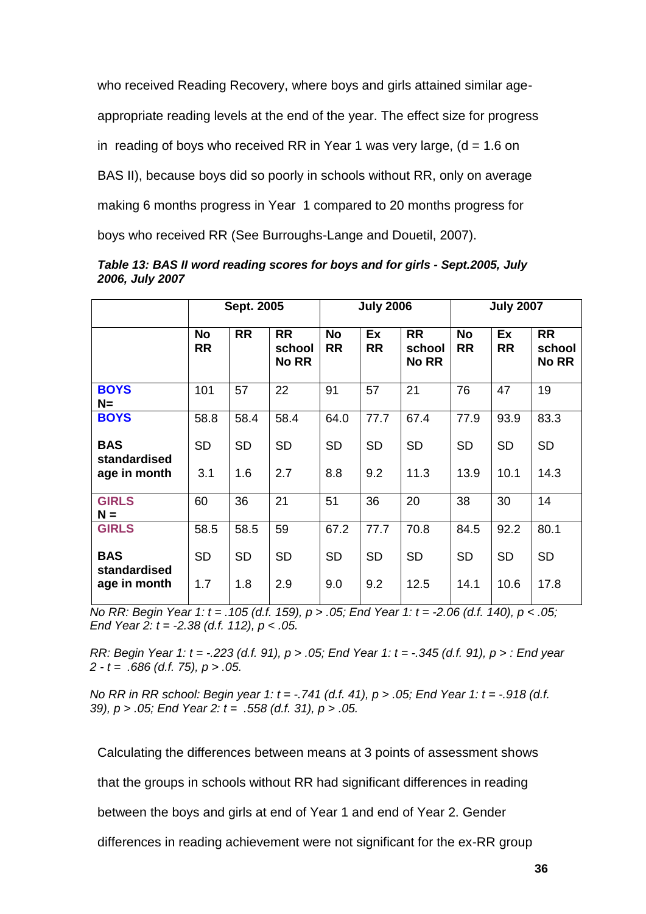who received Reading Recovery, where boys and girls attained similar age-

appropriate reading levels at the end of the year. The effect size for progress

in reading of boys who received RR in Year 1 was very large,  $(d = 1.6 \text{ on } 1)$ 

BAS II), because boys did so poorly in schools without RR, only on average

making 6 months progress in Year 1 compared to 20 months progress for

boys who received RR (See Burroughs-Lange and Douetil, 2007).

|                            | Sept. 2005             |           |                                     |                        | <b>July 2006</b> |                                     |                        | <b>July 2007</b> |                                     |  |
|----------------------------|------------------------|-----------|-------------------------------------|------------------------|------------------|-------------------------------------|------------------------|------------------|-------------------------------------|--|
|                            | <b>No</b><br><b>RR</b> | <b>RR</b> | <b>RR</b><br>school<br><b>No RR</b> | <b>No</b><br><b>RR</b> | Ex<br><b>RR</b>  | <b>RR</b><br>school<br><b>No RR</b> | <b>No</b><br><b>RR</b> | Ex<br><b>RR</b>  | <b>RR</b><br>school<br><b>No RR</b> |  |
| <b>BOYS</b><br>$N =$       | 101                    | 57        | 22                                  | 91                     | 57               | 21                                  | 76                     | 47               | 19                                  |  |
| <b>BOYS</b>                | 58.8                   | 58.4      | 58.4                                | 64.0                   | 77.7             | 67.4                                | 77.9                   | 93.9             | 83.3                                |  |
| <b>BAS</b><br>standardised | <b>SD</b>              | <b>SD</b> | <b>SD</b>                           | <b>SD</b>              | <b>SD</b>        | <b>SD</b>                           | <b>SD</b>              | <b>SD</b>        | <b>SD</b>                           |  |
| age in month               | 3.1                    | 1.6       | 2.7                                 | 8.8                    | 9.2              | 11.3                                | 13.9                   | 10.1             | 14.3                                |  |
| <b>GIRLS</b><br>$N =$      | 60                     | 36        | 21                                  | 51                     | 36               | 20                                  | 38                     | 30               | 14                                  |  |
| <b>GIRLS</b>               | 58.5                   | 58.5      | 59                                  | 67.2                   | 77.7             | 70.8                                | 84.5                   | 92.2             | 80.1                                |  |
| <b>BAS</b><br>standardised | <b>SD</b>              | <b>SD</b> | <b>SD</b>                           | <b>SD</b>              | <b>SD</b>        | SD                                  | <b>SD</b>              | <b>SD</b>        | <b>SD</b>                           |  |
| age in month               | 1.7                    | 1.8       | 2.9                                 | 9.0                    | 9.2              | 12.5                                | 14.1                   | 10.6             | 17.8                                |  |

*Table 13: BAS II word reading scores for boys and for girls - Sept.2005, July 2006, July 2007*

*No RR: Begin Year 1: t = .105 (d.f. 159), p > .05; End Year 1: t = -2.06 (d.f. 140), p < .05; End Year 2: t = -2.38 (d.f. 112), p < .05.*

*RR: Begin Year 1: t = -.223 (d.f. 91), p > .05; End Year 1: t = -.345 (d.f. 91), p > : End year 2 - t = .686 (d.f. 75), p > .05.*

*No RR in RR school: Begin year 1: t = -.741 (d.f. 41), p > .05; End Year 1: t = -.918 (d.f. 39), p > .05; End Year 2: t = .558 (d.f. 31), p > .05.*

Calculating the differences between means at 3 points of assessment shows

that the groups in schools without RR had significant differences in reading

between the boys and girls at end of Year 1 and end of Year 2. Gender

differences in reading achievement were not significant for the ex-RR group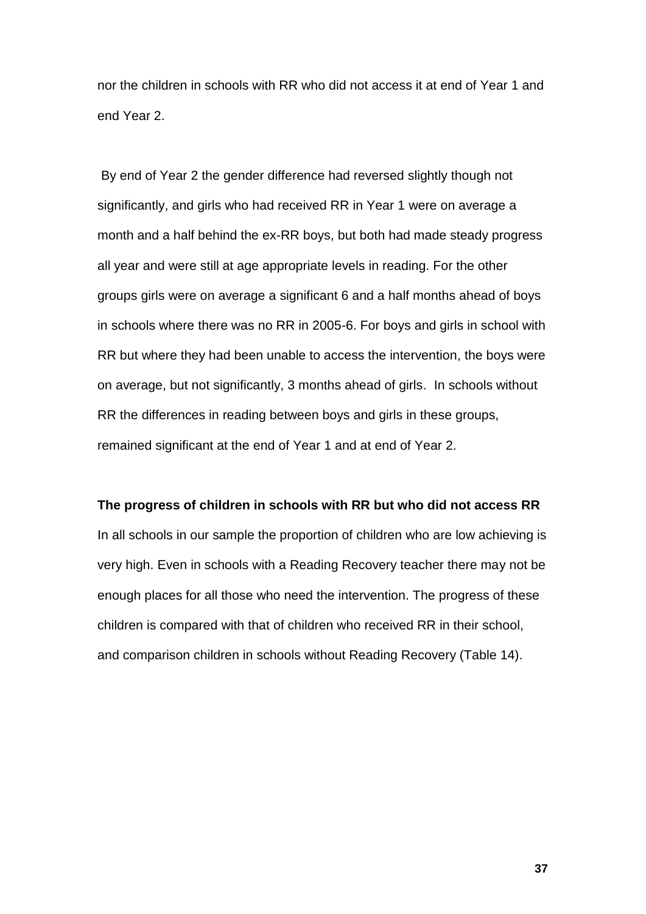nor the children in schools with RR who did not access it at end of Year 1 and end Year 2.

By end of Year 2 the gender difference had reversed slightly though not significantly, and girls who had received RR in Year 1 were on average a month and a half behind the ex-RR boys, but both had made steady progress all year and were still at age appropriate levels in reading. For the other groups girls were on average a significant 6 and a half months ahead of boys in schools where there was no RR in 2005-6. For boys and girls in school with RR but where they had been unable to access the intervention, the boys were on average, but not significantly, 3 months ahead of girls. In schools without RR the differences in reading between boys and girls in these groups, remained significant at the end of Year 1 and at end of Year 2.

### **The progress of children in schools with RR but who did not access RR**

In all schools in our sample the proportion of children who are low achieving is very high. Even in schools with a Reading Recovery teacher there may not be enough places for all those who need the intervention. The progress of these children is compared with that of children who received RR in their school, and comparison children in schools without Reading Recovery (Table 14).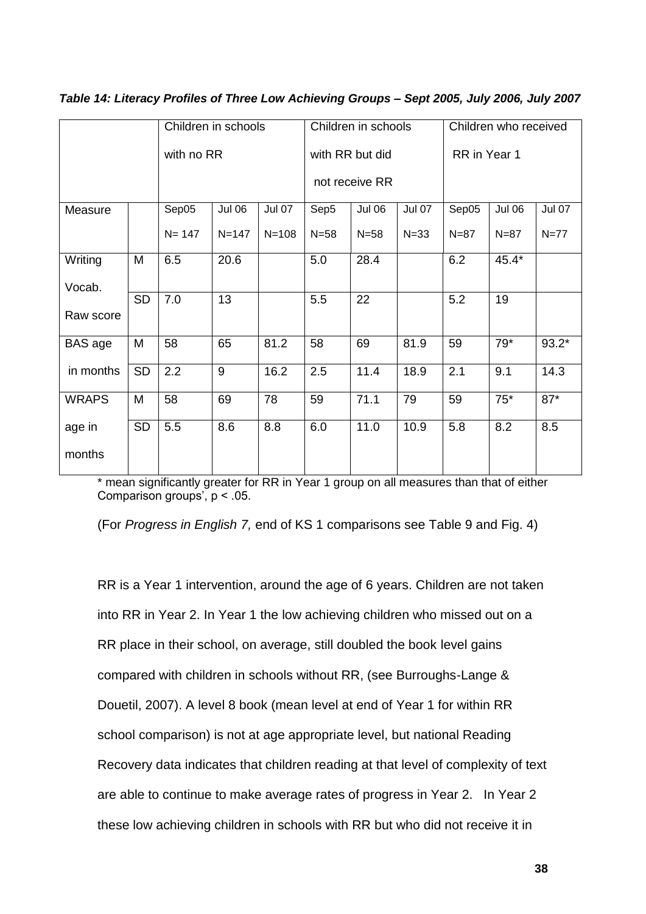|              |            | Children in schools |               |                 | Children in schools |                | Children who received |          |               |               |
|--------------|------------|---------------------|---------------|-----------------|---------------------|----------------|-----------------------|----------|---------------|---------------|
|              | with no RR |                     |               | with RR but did |                     |                | RR in Year 1          |          |               |               |
|              |            |                     |               |                 |                     | not receive RR |                       |          |               |               |
| Measure      |            | Sep05               | <b>Jul 06</b> | <b>Jul 07</b>   | Sep5                | <b>Jul 06</b>  | <b>Jul 07</b>         | Sep05    | <b>Jul 06</b> | <b>Jul 07</b> |
|              |            | $N = 147$           | $N = 147$     | $N = 108$       | $N=58$              | $N = 58$       | $N = 33$              | $N = 87$ | $N = 87$      | $N=77$        |
| Writing      | M          | 6.5                 | 20.6          |                 | 5.0                 | 28.4           |                       | 6.2      | $45.4*$       |               |
| Vocab.       |            |                     |               |                 |                     |                |                       |          |               |               |
|              | <b>SD</b>  | 7.0                 | 13            |                 | 5.5                 | 22             |                       | 5.2      | 19            |               |
| Raw score    |            |                     |               |                 |                     |                |                       |          |               |               |
| BAS age      | M          | 58                  | 65            | 81.2            | 58                  | 69             | 81.9                  | 59       | $79*$         | $93.2*$       |
| in months    | <b>SD</b>  | 2.2                 | 9             | 16.2            | 2.5                 | 11.4           | 18.9                  | 2.1      | 9.1           | 14.3          |
| <b>WRAPS</b> | M          | 58                  | 69            | 78              | 59                  | 71.1           | 79                    | 59       | $75*$         | $87*$         |
| age in       | <b>SD</b>  | 5.5                 | 8.6           | 8.8             | 6.0                 | 11.0           | 10.9                  | 5.8      | 8.2           | 8.5           |
| months       |            |                     |               |                 |                     |                |                       |          |               |               |

*Table 14: Literacy Profiles of Three Low Achieving Groups – Sept 2005, July 2006, July 2007*

\* mean significantly greater for RR in Year 1 group on all measures than that of either Comparison groups<sup> $\cdot$ </sup>, p < .05.

(For *Progress in English 7,* end of KS 1 comparisons see Table 9 and Fig. 4)

RR is a Year 1 intervention, around the age of 6 years. Children are not taken into RR in Year 2. In Year 1 the low achieving children who missed out on a RR place in their school, on average, still doubled the book level gains compared with children in schools without RR, (see Burroughs-Lange & Douetil, 2007). A level 8 book (mean level at end of Year 1 for within RR school comparison) is not at age appropriate level, but national Reading Recovery data indicates that children reading at that level of complexity of text are able to continue to make average rates of progress in Year 2. In Year 2 these low achieving children in schools with RR but who did not receive it in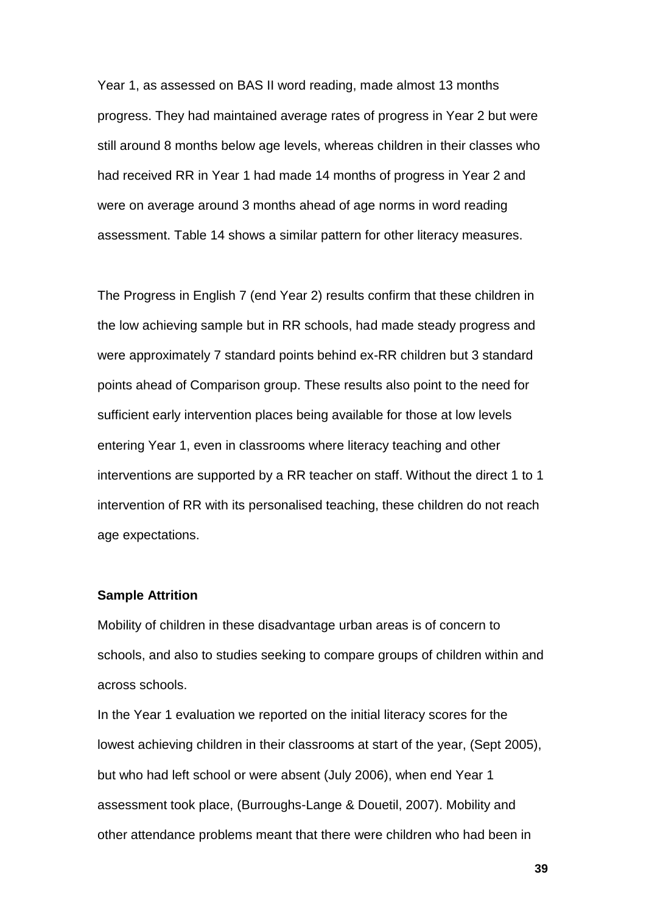Year 1, as assessed on BAS II word reading, made almost 13 months progress. They had maintained average rates of progress in Year 2 but were still around 8 months below age levels, whereas children in their classes who had received RR in Year 1 had made 14 months of progress in Year 2 and were on average around 3 months ahead of age norms in word reading assessment. Table 14 shows a similar pattern for other literacy measures.

The Progress in English 7 (end Year 2) results confirm that these children in the low achieving sample but in RR schools, had made steady progress and were approximately 7 standard points behind ex-RR children but 3 standard points ahead of Comparison group. These results also point to the need for sufficient early intervention places being available for those at low levels entering Year 1, even in classrooms where literacy teaching and other interventions are supported by a RR teacher on staff. Without the direct 1 to 1 intervention of RR with its personalised teaching, these children do not reach age expectations.

#### **Sample Attrition**

Mobility of children in these disadvantage urban areas is of concern to schools, and also to studies seeking to compare groups of children within and across schools.

In the Year 1 evaluation we reported on the initial literacy scores for the lowest achieving children in their classrooms at start of the year, (Sept 2005), but who had left school or were absent (July 2006), when end Year 1 assessment took place, (Burroughs-Lange & Douetil, 2007). Mobility and other attendance problems meant that there were children who had been in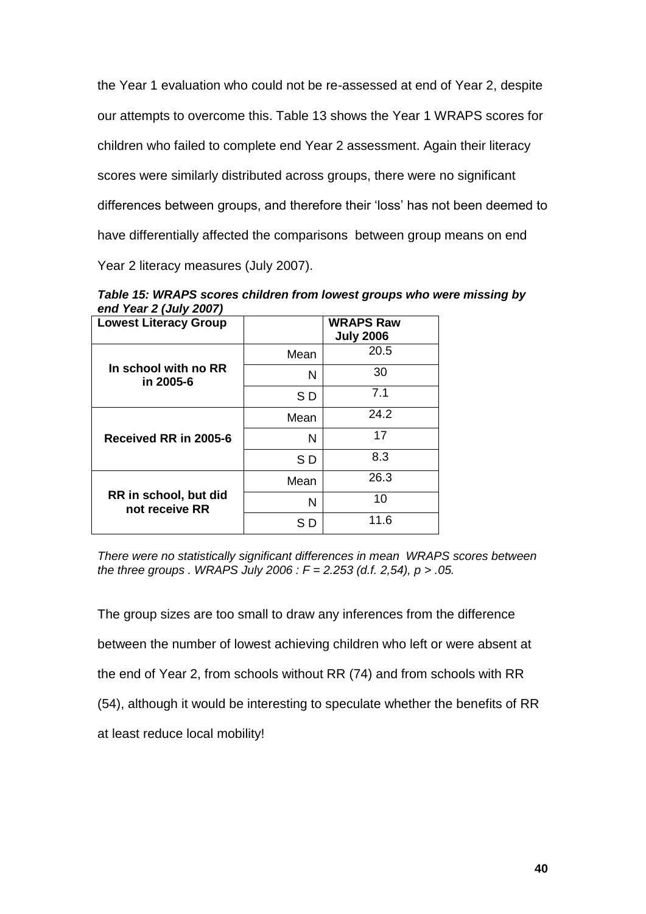the Year 1 evaluation who could not be re-assessed at end of Year 2, despite our attempts to overcome this. Table 13 shows the Year 1 WRAPS scores for children who failed to complete end Year 2 assessment. Again their literacy scores were similarly distributed across groups, there were no significant differences between groups, and therefore their "loss" has not been deemed to have differentially affected the comparisons between group means on end Year 2 literacy measures (July 2007).

*Table 15: WRAPS scores children from lowest groups who were missing by end Year 2 (July 2007)* 

| <b>Lowest Literacy Group</b>            |      | <b>WRAPS Raw</b><br><b>July 2006</b> |
|-----------------------------------------|------|--------------------------------------|
|                                         | Mean | 20.5                                 |
| In school with no RR<br>in 2005-6       | N    | 30                                   |
|                                         | SD   | 7.1                                  |
| Received RR in 2005-6                   | Mean | 24.2                                 |
|                                         | N    | 17                                   |
|                                         | SD   | 8.3                                  |
|                                         | Mean | 26.3                                 |
| RR in school, but did<br>not receive RR | N    | 10                                   |
|                                         | S D  | 11.6                                 |

*There were no statistically significant differences in mean WRAPS scores between the three groups . WRAPS July 2006 : F = 2.253 (d.f. 2,54), p > .05.*

The group sizes are too small to draw any inferences from the difference between the number of lowest achieving children who left or were absent at the end of Year 2, from schools without RR (74) and from schools with RR (54), although it would be interesting to speculate whether the benefits of RR at least reduce local mobility!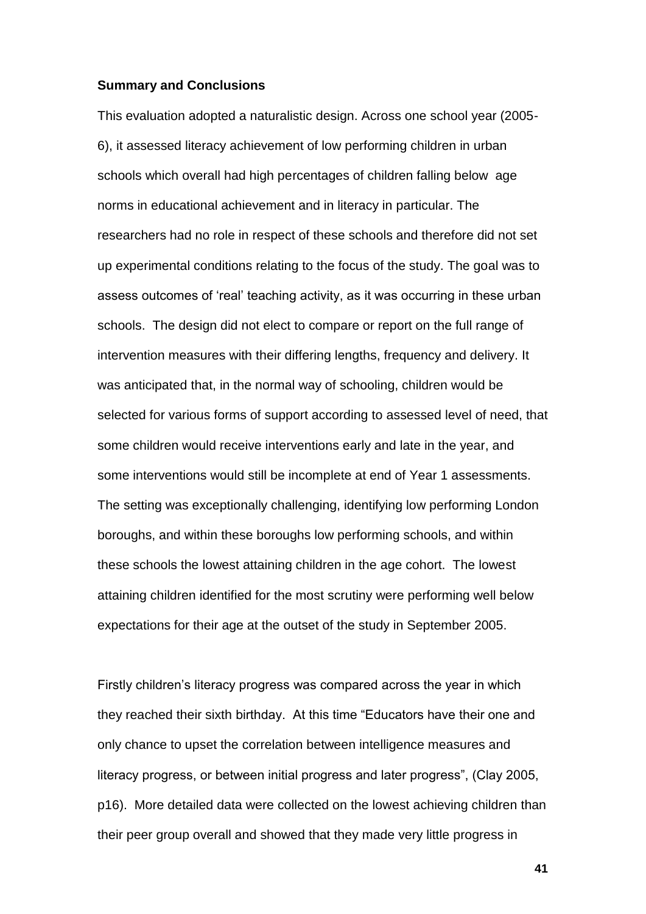#### **Summary and Conclusions**

This evaluation adopted a naturalistic design. Across one school year (2005- 6), it assessed literacy achievement of low performing children in urban schools which overall had high percentages of children falling below age norms in educational achievement and in literacy in particular. The researchers had no role in respect of these schools and therefore did not set up experimental conditions relating to the focus of the study. The goal was to assess outcomes of "real" teaching activity, as it was occurring in these urban schools. The design did not elect to compare or report on the full range of intervention measures with their differing lengths, frequency and delivery. It was anticipated that, in the normal way of schooling, children would be selected for various forms of support according to assessed level of need, that some children would receive interventions early and late in the year, and some interventions would still be incomplete at end of Year 1 assessments. The setting was exceptionally challenging, identifying low performing London boroughs, and within these boroughs low performing schools, and within these schools the lowest attaining children in the age cohort. The lowest attaining children identified for the most scrutiny were performing well below expectations for their age at the outset of the study in September 2005.

Firstly children"s literacy progress was compared across the year in which they reached their sixth birthday. At this time "Educators have their one and only chance to upset the correlation between intelligence measures and literacy progress, or between initial progress and later progress", (Clay 2005, p16). More detailed data were collected on the lowest achieving children than their peer group overall and showed that they made very little progress in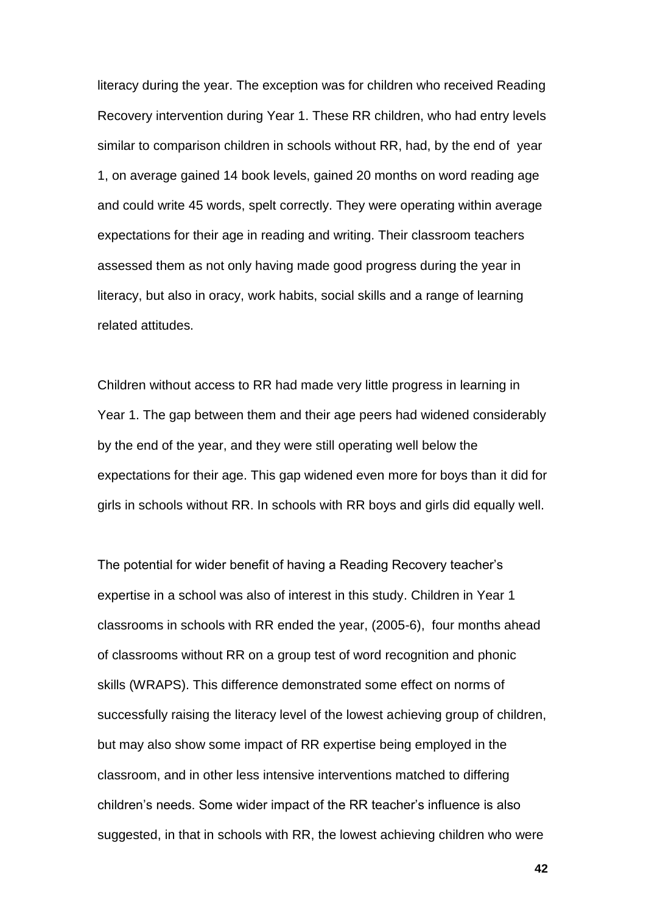literacy during the year. The exception was for children who received Reading Recovery intervention during Year 1. These RR children, who had entry levels similar to comparison children in schools without RR, had, by the end of year 1, on average gained 14 book levels, gained 20 months on word reading age and could write 45 words, spelt correctly. They were operating within average expectations for their age in reading and writing. Their classroom teachers assessed them as not only having made good progress during the year in literacy, but also in oracy, work habits, social skills and a range of learning related attitudes.

Children without access to RR had made very little progress in learning in Year 1. The gap between them and their age peers had widened considerably by the end of the year, and they were still operating well below the expectations for their age. This gap widened even more for boys than it did for girls in schools without RR. In schools with RR boys and girls did equally well.

The potential for wider benefit of having a Reading Recovery teacher"s expertise in a school was also of interest in this study. Children in Year 1 classrooms in schools with RR ended the year, (2005-6), four months ahead of classrooms without RR on a group test of word recognition and phonic skills (WRAPS). This difference demonstrated some effect on norms of successfully raising the literacy level of the lowest achieving group of children, but may also show some impact of RR expertise being employed in the classroom, and in other less intensive interventions matched to differing children"s needs. Some wider impact of the RR teacher"s influence is also suggested, in that in schools with RR, the lowest achieving children who were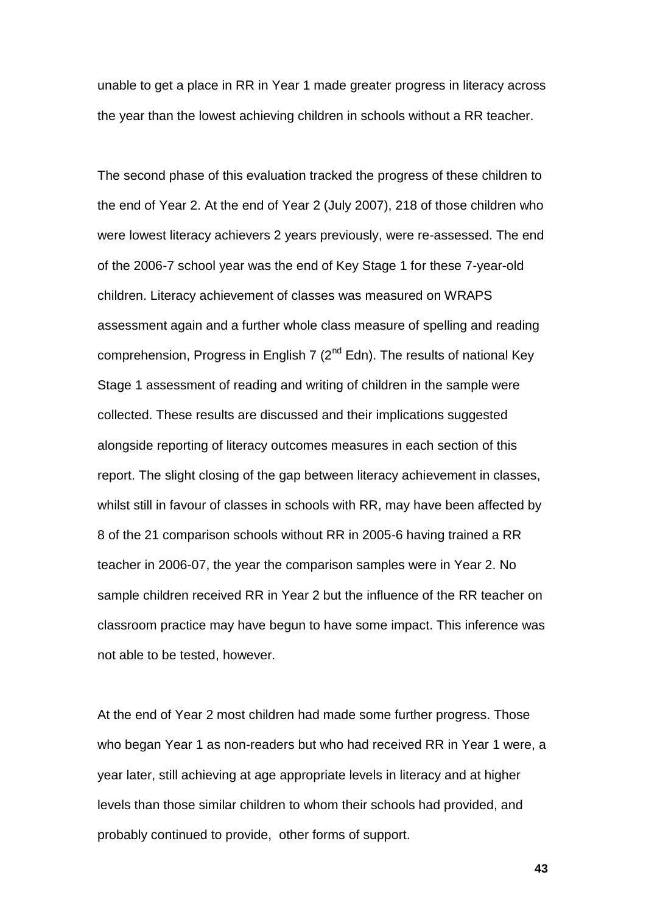unable to get a place in RR in Year 1 made greater progress in literacy across the year than the lowest achieving children in schools without a RR teacher.

The second phase of this evaluation tracked the progress of these children to the end of Year 2. At the end of Year 2 (July 2007), 218 of those children who were lowest literacy achievers 2 years previously, were re-assessed. The end of the 2006-7 school year was the end of Key Stage 1 for these 7-year-old children. Literacy achievement of classes was measured on WRAPS assessment again and a further whole class measure of spelling and reading comprehension, Progress in English 7 ( $2<sup>nd</sup>$  Edn). The results of national Key Stage 1 assessment of reading and writing of children in the sample were collected. These results are discussed and their implications suggested alongside reporting of literacy outcomes measures in each section of this report. The slight closing of the gap between literacy achievement in classes, whilst still in favour of classes in schools with RR, may have been affected by 8 of the 21 comparison schools without RR in 2005-6 having trained a RR teacher in 2006-07, the year the comparison samples were in Year 2. No sample children received RR in Year 2 but the influence of the RR teacher on classroom practice may have begun to have some impact. This inference was not able to be tested, however.

At the end of Year 2 most children had made some further progress. Those who began Year 1 as non-readers but who had received RR in Year 1 were, a year later, still achieving at age appropriate levels in literacy and at higher levels than those similar children to whom their schools had provided, and probably continued to provide, other forms of support.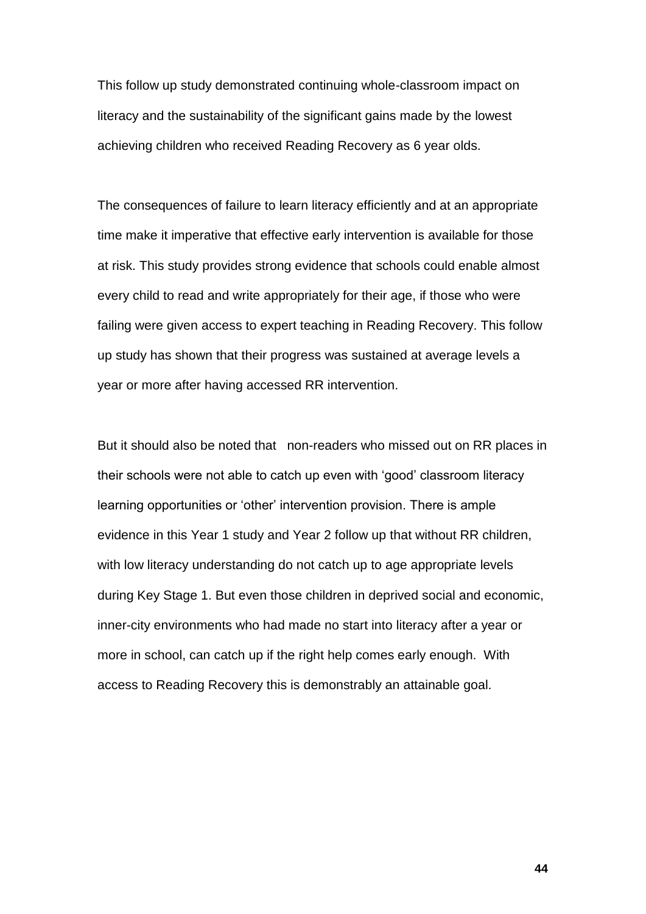This follow up study demonstrated continuing whole-classroom impact on literacy and the sustainability of the significant gains made by the lowest achieving children who received Reading Recovery as 6 year olds.

The consequences of failure to learn literacy efficiently and at an appropriate time make it imperative that effective early intervention is available for those at risk. This study provides strong evidence that schools could enable almost every child to read and write appropriately for their age, if those who were failing were given access to expert teaching in Reading Recovery. This follow up study has shown that their progress was sustained at average levels a year or more after having accessed RR intervention.

But it should also be noted that non-readers who missed out on RR places in their schools were not able to catch up even with "good" classroom literacy learning opportunities or "other" intervention provision. There is ample evidence in this Year 1 study and Year 2 follow up that without RR children, with low literacy understanding do not catch up to age appropriate levels during Key Stage 1. But even those children in deprived social and economic, inner-city environments who had made no start into literacy after a year or more in school, can catch up if the right help comes early enough. With access to Reading Recovery this is demonstrably an attainable goal.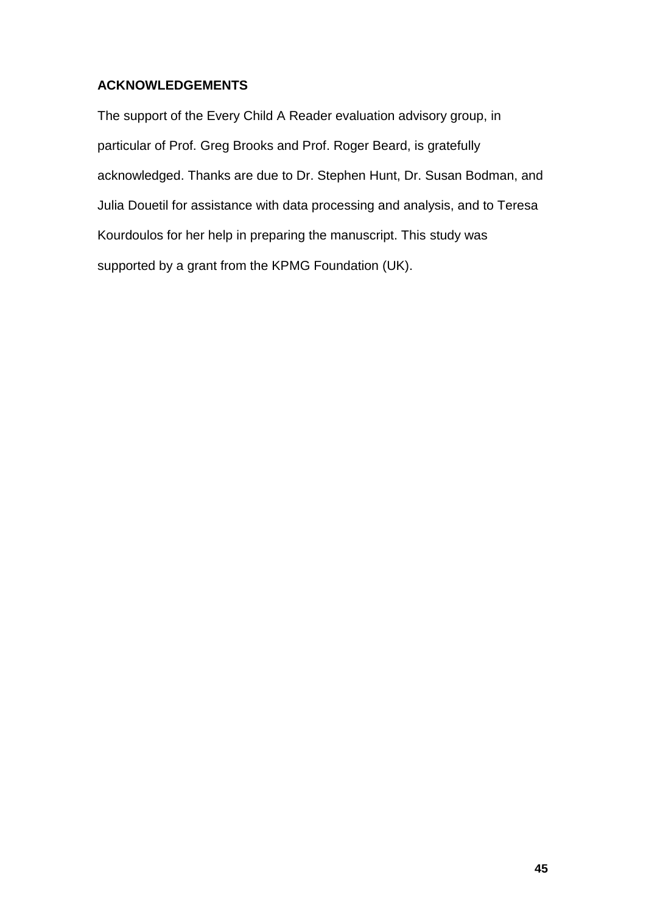# **ACKNOWLEDGEMENTS**

The support of the Every Child A Reader evaluation advisory group, in particular of Prof. Greg Brooks and Prof. Roger Beard, is gratefully acknowledged. Thanks are due to Dr. Stephen Hunt, Dr. Susan Bodman, and Julia Douetil for assistance with data processing and analysis, and to Teresa Kourdoulos for her help in preparing the manuscript. This study was supported by a grant from the KPMG Foundation (UK).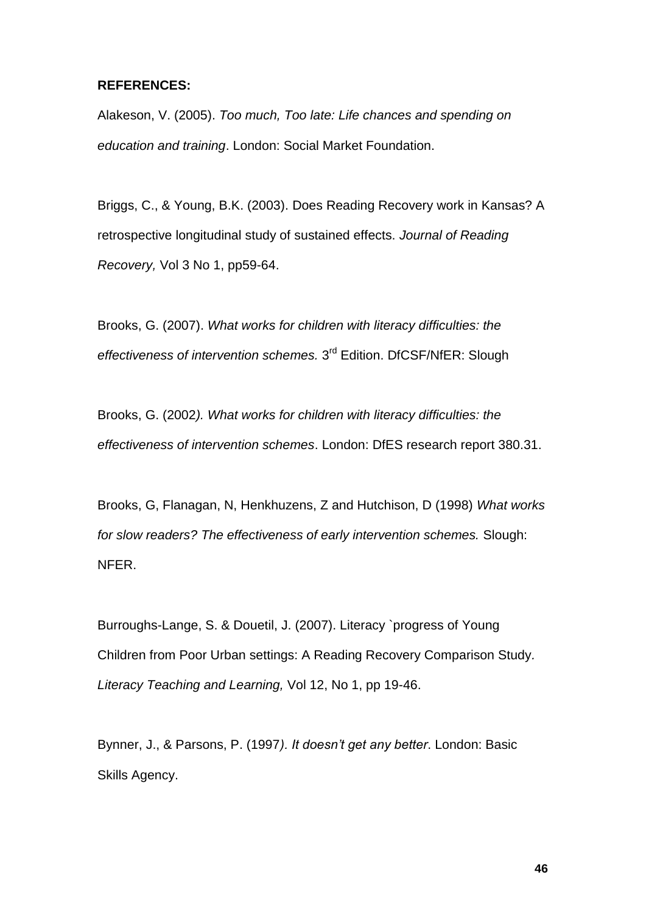## **REFERENCES:**

Alakeson, V. (2005). *Too much, Too late: Life chances and spending on education and training*. London: Social Market Foundation.

Briggs, C., & Young, B.K. (2003). Does Reading Recovery work in Kansas? A retrospective longitudinal study of sustained effects. *Journal of Reading Recovery,* Vol 3 No 1, pp59-64.

Brooks, G. (2007). *What works for children with literacy difficulties: the*  effectiveness of intervention schemes. 3<sup>rd</sup> Edition. DfCSF/NfER: Slough

Brooks, G. (2002*). What works for children with literacy difficulties: the effectiveness of intervention schemes*. London: DfES research report 380.31.

Brooks, G, Flanagan, N, Henkhuzens, Z and Hutchison, D (1998) *What works for slow readers? The effectiveness of early intervention schemes.* Slough: NFER.

Burroughs-Lange, S. & Douetil, J. (2007). Literacy `progress of Young Children from Poor Urban settings: A Reading Recovery Comparison Study*. Literacy Teaching and Learning,* Vol 12, No 1, pp 19-46.

Bynner, J., & Parsons, P. (1997*). It doesn't get any better*. London: Basic Skills Agency.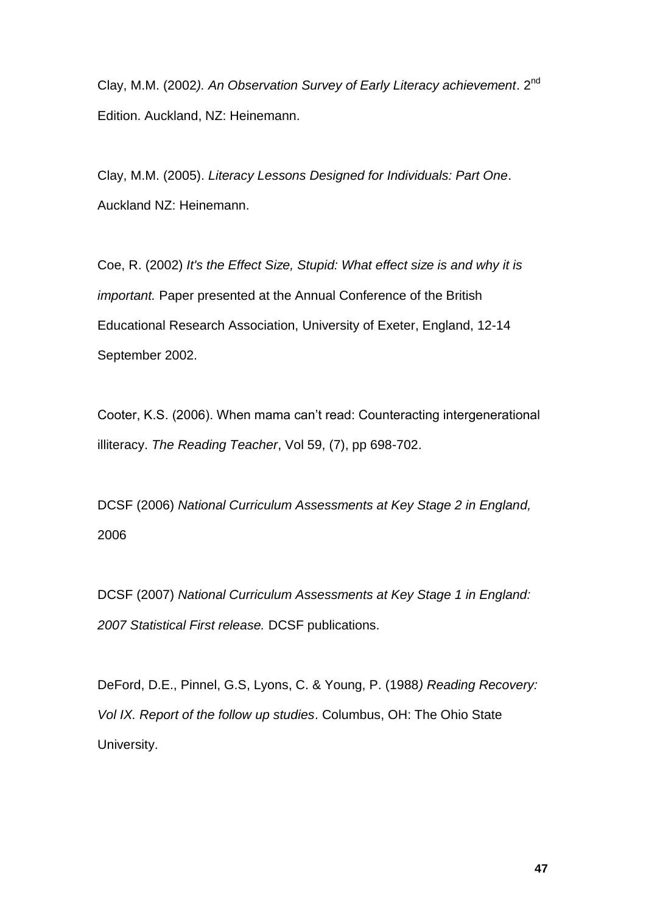Clay, M.M. (2002*). An Observation Survey of Early Literacy achievement*. 2nd Edition. Auckland, NZ: Heinemann.

Clay, M.M. (2005). *Literacy Lessons Designed for Individuals: Part One*. Auckland NZ: Heinemann.

Coe, R. (2002) *It's the Effect Size, Stupid: What effect size is and why it is important.* Paper presented at the Annual Conference of the British Educational Research Association, University of Exeter, England, 12-14 September 2002.

Cooter, K.S. (2006). When mama can"t read: Counteracting intergenerational illiteracy. *The Reading Teacher*, Vol 59, (7), pp 698-702.

DCSF (2006) *National Curriculum Assessments at Key Stage 2 in England,* 2006

DCSF (2007) *National Curriculum Assessments at Key Stage 1 in England: 2007 Statistical First release.* DCSF publications.

DeFord, D.E., Pinnel, G.S, Lyons, C. & Young, P. (1988*) Reading Recovery: Vol IX. Report of the follow up studies*. Columbus, OH: The Ohio State University.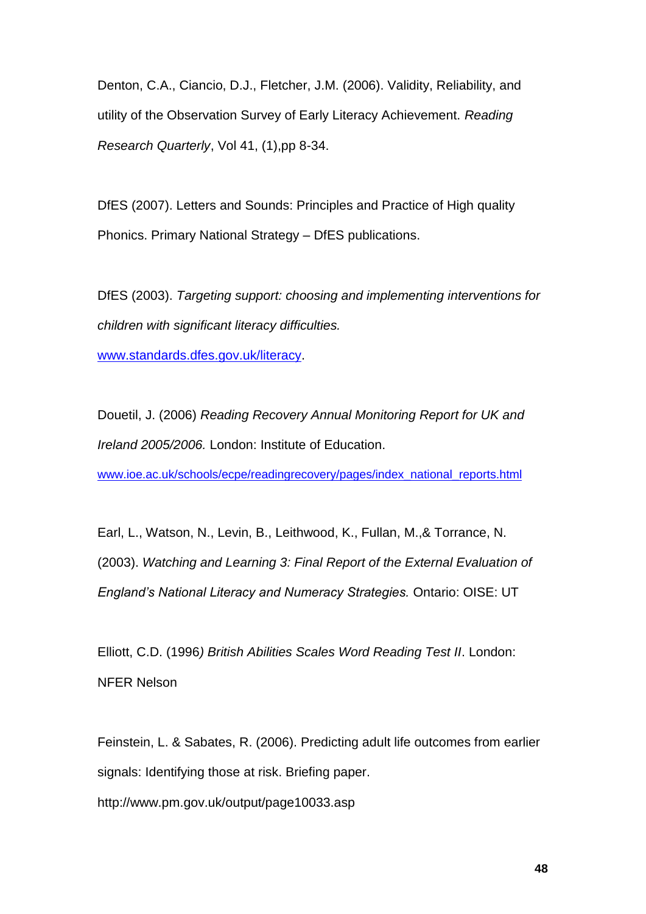Denton, C.A., Ciancio, D.J., Fletcher, J.M. (2006). Validity, Reliability, and utility of the Observation Survey of Early Literacy Achievement. *Reading Research Quarterly*, Vol 41, (1),pp 8-34.

DfES (2007). Letters and Sounds: Principles and Practice of High quality Phonics. Primary National Strategy – DfES publications.

DfES (2003). *Targeting support: choosing and implementing interventions for children with significant literacy difficulties.*

[www.standards.dfes.gov.uk/literacy.](http://www.standards.dfes.gov.uk/literacy)

Douetil, J. (2006) *Reading Recovery Annual Monitoring Report for UK and Ireland 2005/2006.* London: Institute of Education.

[www.ioe.ac.uk/schools/ecpe/readingrecovery/pages/index\\_national\\_reports.html](http://www.ioe.ac.uk/schools/ecpe/readingrecovery/pages/index_national_reports.html)

Earl, L., Watson, N., Levin, B., Leithwood, K., Fullan, M.,& Torrance, N. (2003). *Watching and Learning 3: Final Report of the External Evaluation of England's National Literacy and Numeracy Strategies.* Ontario: OISE: UT

Elliott, C.D. (1996*) British Abilities Scales Word Reading Test II*. London: NFER Nelson

Feinstein, L. & Sabates, R. (2006). Predicting adult life outcomes from earlier signals: Identifying those at risk. Briefing paper.

http://www.pm.gov.uk/output/page10033.asp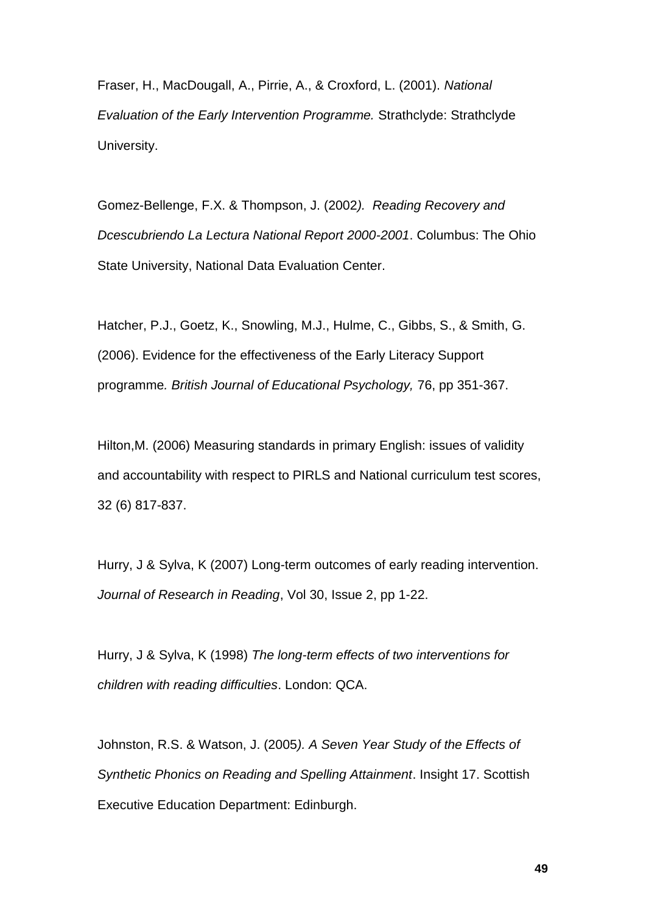Fraser, H., MacDougall, A., Pirrie, A., & Croxford, L. (2001). *National Evaluation of the Early Intervention Programme.* Strathclyde: Strathclyde University.

Gomez-Bellenge, F.X. & Thompson, J. (2002*). Reading Recovery and Dcescubriendo La Lectura National Report 2000-2001*. Columbus: The Ohio State University, National Data Evaluation Center.

Hatcher, P.J., Goetz, K., Snowling, M.J., Hulme, C., Gibbs, S., & Smith, G. (2006). Evidence for the effectiveness of the Early Literacy Support programme*. British Journal of Educational Psychology,* 76, pp 351-367.

Hilton,M. (2006) Measuring standards in primary English: issues of validity and accountability with respect to PIRLS and National curriculum test scores, 32 (6) 817-837.

Hurry, J & Sylva, K (2007) Long-term outcomes of early reading intervention. *Journal of Research in Reading*, Vol 30, Issue 2, pp 1-22.

Hurry, J & Sylva, K (1998) *The long-term effects of two interventions for children with reading difficulties*. London: QCA.

Johnston, R.S. & Watson, J. (2005*). A Seven Year Study of the Effects of Synthetic Phonics on Reading and Spelling Attainment*. Insight 17. Scottish Executive Education Department: Edinburgh.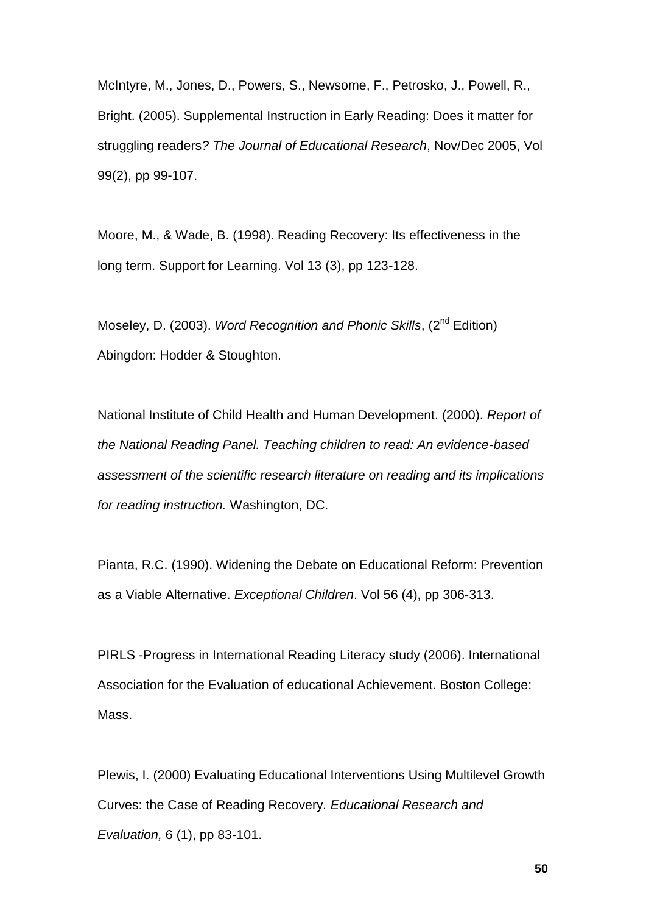McIntyre, M., Jones, D., Powers, S., Newsome, F., Petrosko, J., Powell, R., Bright. (2005). Supplemental Instruction in Early Reading: Does it matter for struggling readers*? The Journal of Educational Research*, Nov/Dec 2005, Vol 99(2), pp 99-107.

Moore, M., & Wade, B. (1998). Reading Recovery: Its effectiveness in the long term. Support for Learning. Vol 13 (3), pp 123-128.

Moseley, D. (2003). *Word Recognition and Phonic Skills*, (2nd Edition) Abingdon: Hodder & Stoughton.

National Institute of Child Health and Human Development. (2000). *Report of the National Reading Panel. Teaching children to read: An evidence-based assessment of the scientific research literature on reading and its implications for reading instruction.* Washington, DC.

Pianta, R.C. (1990). Widening the Debate on Educational Reform: Prevention as a Viable Alternative. *Exceptional Children*. Vol 56 (4), pp 306-313.

PIRLS -Progress in International Reading Literacy study (2006). International Association for the Evaluation of educational Achievement. Boston College: Mass.

Plewis, I. (2000) Evaluating Educational Interventions Using Multilevel Growth Curves: the Case of Reading Recovery*. Educational Research and Evaluation,* 6 (1), pp 83-101.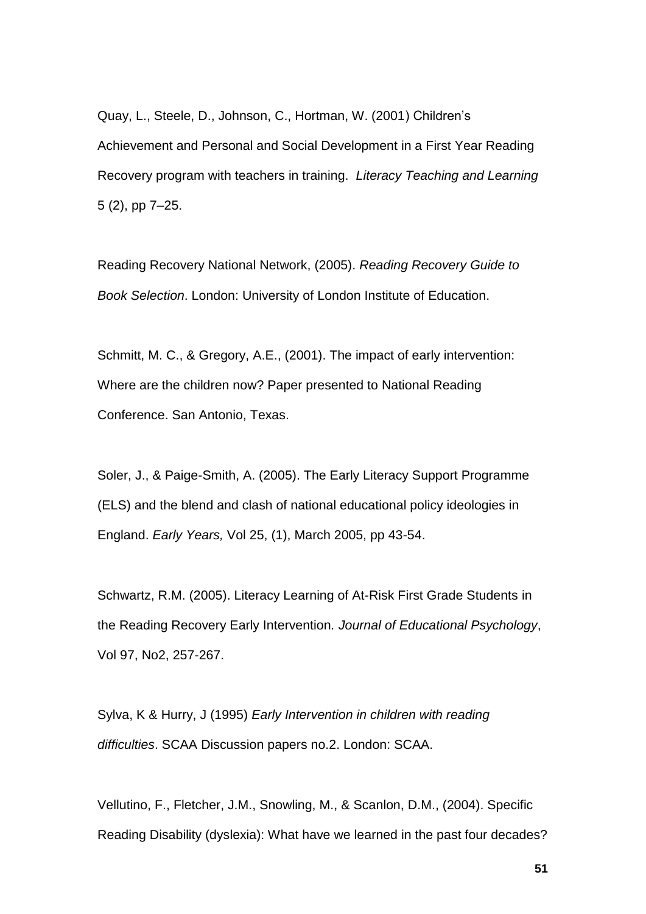Quay, L., Steele, D., Johnson, C., Hortman, W. (2001) Children"s Achievement and Personal and Social Development in a First Year Reading Recovery program with teachers in training. *Literacy Teaching and Learning* 5 (2), pp 7–25.

Reading Recovery National Network, (2005). *Reading Recovery Guide to Book Selection*. London: University of London Institute of Education.

Schmitt, M. C., & Gregory, A.E., (2001). The impact of early intervention: Where are the children now? Paper presented to National Reading Conference. San Antonio, Texas.

Soler, J., & Paige-Smith, A. (2005). The Early Literacy Support Programme (ELS) and the blend and clash of national educational policy ideologies in England. *Early Years,* Vol 25, (1), March 2005, pp 43-54.

Schwartz, R.M. (2005). Literacy Learning of At-Risk First Grade Students in the Reading Recovery Early Intervention*. Journal of Educational Psychology*, Vol 97, No2, 257-267.

Sylva, K & Hurry, J (1995) *Early Intervention in children with reading difficulties*. SCAA Discussion papers no.2. London: SCAA.

Vellutino, F., Fletcher, J.M., Snowling, M., & Scanlon, D.M., (2004). Specific Reading Disability (dyslexia): What have we learned in the past four decades?